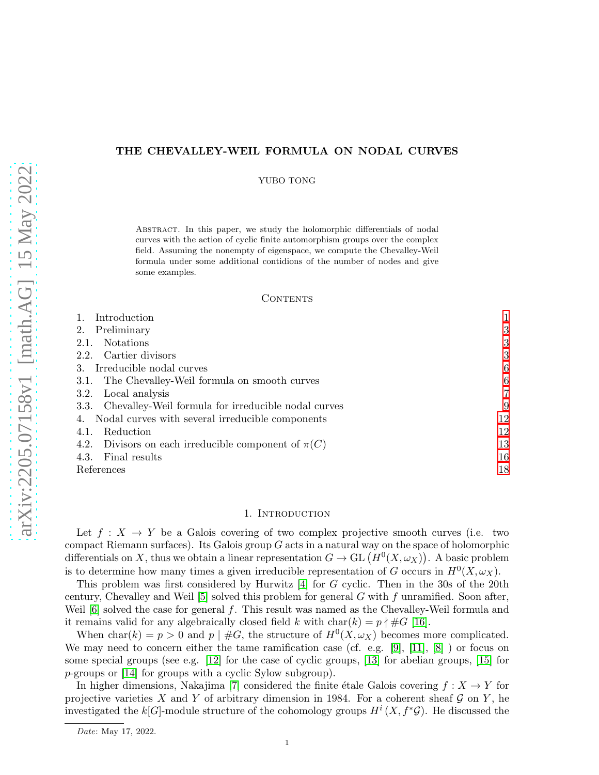# THE CHEVALLEY-WEIL FORMULA ON NODAL CURVES

YUBO TONG

Abstract. In this paper, we study the holomorphic differentials of nodal curves with the action of cyclic finite automorphism groups over the complex field. Assuming the nonempty of eigenspace, we compute the Chevalley-Weil formula under some additional contidions of the number of nodes and give some examples.

## CONTENTS

| Introduction                                             |                |
|----------------------------------------------------------|----------------|
| Preliminary<br>2.                                        | 3              |
| <b>Notations</b><br>2.1.                                 | 3              |
| 2.2. Cartier divisors                                    | 3              |
| Irreducible nodal curves<br>3.                           | 6              |
| The Chevalley-Weil formula on smooth curves<br>3.1.      | 6              |
| Local analysis<br>3.2.                                   | $\overline{7}$ |
| 3.3. Chevalley-Weil formula for irreducible nodal curves | 9              |
| 4. Nodal curves with several irreducible components      | 12             |
| Reduction<br>4.1.                                        | 12             |
| 4.2. Divisors on each irreducible component of $\pi(C)$  | 13             |
| Final results<br>4.3.                                    | 16             |
| References                                               | 18             |

# 1. INTRODUCTION

<span id="page-0-0"></span>Let  $f: X \to Y$  be a Galois covering of two complex projective smooth curves (i.e. two compact Riemann surfaces). Its Galois group  $G$  acts in a natural way on the space of holomorphic differentials on X, thus we obtain a linear representation  $G \to GL(H^0(X, \omega_X))$ . A basic problem is to determine how many times a given irreducible representation of G occurs in  $H^0(X, \omega_X)$ .

This problem was first considered by Hurwitz [\[4\]](#page-17-1) for G cyclic. Then in the 30s of the 20th century, Chevalley and Weil  $[5]$  solved this problem for general G with f unramified. Soon after, Weil  $[6]$  solved the case for general f. This result was named as the Chevalley-Weil formula and it remains valid for any algebraically closed field k with  $char(k) = p \nmid #G$  [\[16\]](#page-18-0).

When char(k) =  $p > 0$  and  $p \mid #G$ , the structure of  $H^0(X, \omega_X)$  becomes more complicated. We may need to concern either the tame ramification case (cf. e.g. [\[9\]](#page-17-4), [\[11\]](#page-17-5), [\[8\]](#page-17-6) ) or focus on some special groups (see e.g.  $[12]$  for the case of cyclic groups,  $[13]$  for abelian groups,  $[15]$  for p-groups or [\[14\]](#page-18-2) for groups with a cyclic Sylow subgroup).

In higher dimensions, Nakajima [\[7\]](#page-17-9) considered the finite étale Galois covering  $f : X \to Y$  for projective varieties X and Y of arbitrary dimension in 1984. For a coherent sheaf  $\mathcal G$  on Y, he investigated the k[G]-module structure of the cohomology groups  $H^{i}(X, f^{*}\mathcal{G})$ . He discussed the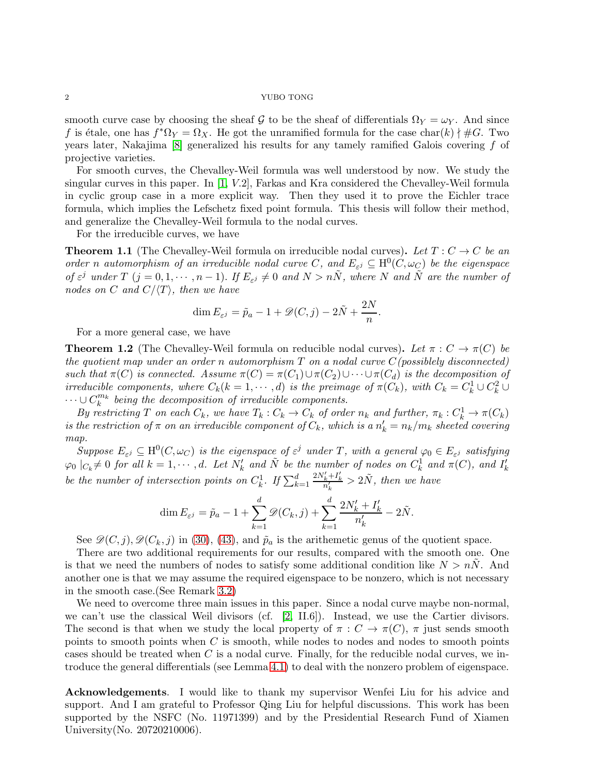smooth curve case by choosing the sheaf G to be the sheaf of differentials  $\Omega_Y = \omega_Y$ . And since f is étale, one has  $f^* \Omega_Y = \Omega_X$ . He got the unramified formula for the case char(k)  $\nmid \#G$ . Two years later, Nakajima  $[8]$  generalized his results for any tamely ramified Galois covering  $f$  of projective varieties.

For smooth curves, the Chevalley-Weil formula was well understood by now. We study the singular curves in this paper. In [\[1,](#page-17-10) V.2], Farkas and Kra considered the Chevalley-Weil formula in cyclic group case in a more explicit way. Then they used it to prove the Eichler trace formula, which implies the Lefschetz fixed point formula. This thesis will follow their method, and generalize the Chevalley-Weil formula to the nodal curves.

For the irreducible curves, we have

**Theorem 1.1** (The Chevalley-Weil formula on irreducible nodal curves). Let  $T: C \to C$  be an order n automorphism of an irreducible nodal curve C, and  $E_{\varepsilon^j} \subseteq H^0(C, \omega_C)$  be the eigenspace of  $\varepsilon^j$  under  $T$   $(j = 0, 1, \dots, n-1)$ . If  $E_{\varepsilon^j} \neq 0$  and  $N > n\tilde{N}$ , where N and  $\tilde{N}$  are the number of nodes on C and  $C/\langle T \rangle$ , then we have

$$
\dim E_{\varepsilon^j} = \tilde{p}_a - 1 + \mathscr{D}(C, j) - 2\tilde{N} + \frac{2N}{n}.
$$

For a more general case, we have

**Theorem 1.2** (The Chevalley-Weil formula on reducible nodal curves). Let  $\pi : C \to \pi(C)$  be the quotient map under an order n automorphism  $T$  on a nodal curve  $C(p$ ossiblely disconnected) such that  $\pi(C)$  is connected. Assume  $\pi(C) = \pi(C_1) \cup \pi(C_2) \cup \cdots \cup \pi(C_d)$  is the decomposition of irreducible components, where  $C_k(k = 1, \dots, d)$  is the preimage of  $\pi(C_k)$ , with  $C_k = C_k^1 \cup C_k^2 \cup$  $\dots \cup C_k^{m_k}$  being the decomposition of irreducible components.

By restricting T on each  $C_k$ , we have  $T_k : C_k \to C_k$  of order  $n_k$  and further,  $\pi_k : C_k^1 \to \pi(C_k)$ is the restriction of  $\pi$  on an irreducible component of  $C_k$ , which is a  $n'_k = n_k/m_k$  sheeted covering map.

Suppose  $E_{\varepsilon^j} \subseteq \mathrm{H}^0(C, \omega_C)$  is the eigenspace of  $\varepsilon^j$  under T, with a general  $\varphi_0 \in E_{\varepsilon^j}$  satisfying  $\varphi_0 \mid_{C_k} \neq 0$  for all  $k = 1, \cdots, d$ . Let  $N'_k$  and  $\tilde{N}$  be the number of nodes on  $C_k^1$  and  $\pi(C)$ , and  $I'_k$ be the number of intersection points on  $C_k^1$ . If  $\sum_{k=1}^d$  $\frac{2N'_k+I'_k}{n'_k} > 2\tilde{N}$ , then we have

$$
\dim E_{\varepsilon^j} = \tilde{p}_a - 1 + \sum_{k=1}^d \mathscr{D}(C_k, j) + \sum_{k=1}^d \frac{2N_k' + I_k'}{n_k'} - 2\tilde{N}.
$$

See  $\mathscr{D}(C, j), \mathscr{D}(C_k, j)$  in [\(30\)](#page-10-0), [\(43\)](#page-14-0), and  $\tilde{p}_a$  is the arithemetic genus of the quotient space.

There are two additional requirements for our results, compared with the smooth one. One is that we need the numbers of nodes to satisfy some additional condition like  $N > nN$ . And another one is that we may assume the required eigenspace to be nonzero, which is not necessary in the smooth case.(See Remark [3.2\)](#page-6-1)

We need to overcome three main issues in this paper. Since a nodal curve maybe non-normal, we can't use the classical Weil divisors (cf. [\[2,](#page-17-11) II.6]). Instead, we use the Cartier divisors. The second is that when we study the local property of  $\pi : C \to \pi(C)$ ,  $\pi$  just sends smooth points to smooth points when C is smooth, while nodes to nodes and nodes to smooth points cases should be treated when  $C$  is a nodal curve. Finally, for the reducible nodal curves, we introduce the general differentials (see Lemma [4.1\)](#page-11-2) to deal with the nonzero problem of eigenspace.

Acknowledgements. I would like to thank my supervisor Wenfei Liu for his advice and support. And I am grateful to Professor Qing Liu for helpful discussions. This work has been supported by the NSFC (No. 11971399) and by the Presidential Research Fund of Xiamen University(No. 20720210006).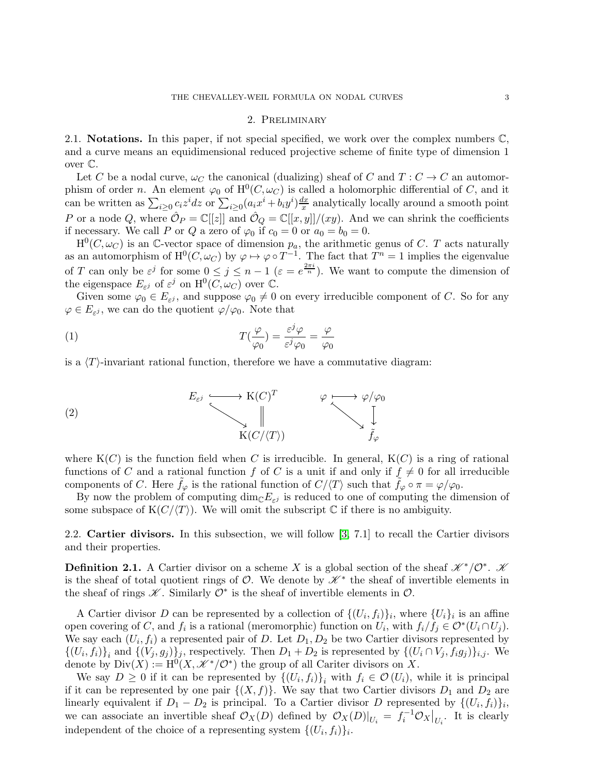## 2. Preliminary

<span id="page-2-1"></span><span id="page-2-0"></span>2.1. **Notations.** In this paper, if not special specified, we work over the complex numbers  $\mathbb{C}$ , and a curve means an equidimensional reduced projective scheme of finite type of dimension 1 over C.

Let C be a nodal curve,  $\omega_C$  the canonical (dualizing) sheaf of C and  $T: C \to C$  an automorphism of order n. An element  $\varphi_0$  of  $H^0(C, \omega_C)$  is called a holomorphic differential of C, and it can be written as  $\sum_{i\geq 0} c_i z^i dz$  or  $\sum_{i\geq 0} (a_i x^i + b_i y^i) \frac{dx}{x}$  $\frac{dx}{x}$  analytically locally around a smooth point P or a node Q, where  $\hat{\mathcal{O}}_P = \mathbb{C}[[z]]$  and  $\hat{\mathcal{O}}_Q = \mathbb{C}[[x, y]]/(xy)$ . And we can shrink the coefficients if necessary. We call P or Q a zero of  $\varphi_0$  if  $c_0 = 0$  or  $a_0 = b_0 = 0$ .

 $H^0(C, \omega_C)$  is an C-vector space of dimension  $p_a$ , the arithmetic genus of C. T acts naturally as an automorphism of  $H^0(C, \omega_C)$  by  $\varphi \mapsto \varphi \circ T^{-1}$ . The fact that  $T^n = 1$  implies the eigenvalue of T can only be  $\varepsilon^j$  for some  $0 \le j \le n-1$   $(\varepsilon = e^{\frac{2\pi i}{n}})$ . We want to compute the dimension of the eigenspace  $E_{\varepsilon^j}$  of  $\varepsilon^j$  on  $\mathrm{H}^0(C, \omega_C)$  over  $\mathbb{C}$ .

Given some  $\varphi_0 \in E_{\varepsilon^j}$ , and suppose  $\varphi_0 \neq 0$  on every irreducible component of C. So for any  $\varphi \in E_{\varepsilon^j}$ , we can do the quotient  $\varphi/\varphi_0$ . Note that

(1) 
$$
T(\frac{\varphi}{\varphi_0}) = \frac{\varepsilon^j \varphi}{\varepsilon^j \varphi_0} = \frac{\varphi}{\varphi_0}
$$

is a  $\langle T \rangle$ -invariant rational function, therefore we have a commutative diagram:

(2) 
$$
E_{\varepsilon^j} \longrightarrow K(C)^T \qquad \varphi \longrightarrow \varphi/\varphi_0
$$

$$
\downarrow \qquad \qquad \downarrow
$$

$$
K(C/\langle T \rangle) \qquad \qquad \downarrow
$$

$$
\tilde{f}_{\varphi}
$$

where  $K(C)$  is the function field when C is irreducible. In general,  $K(C)$  is a ring of rational functions of C and a rational function f of C is a unit if and only if  $f \neq 0$  for all irreducible components of C. Here  $\tilde{f}_{\varphi}$  is the rational function of  $C/\langle T \rangle$  such that  $\tilde{f}_{\varphi} \circ \pi = \varphi/\varphi_0$ .

By now the problem of computing  $\dim_{\mathbb{C}} E_{\varepsilon}$  is reduced to one of computing the dimension of some subspace of  $K(C/\langle T \rangle)$ . We will omit the subscript C if there is no ambiguity.

<span id="page-2-2"></span>2.2. Cartier divisors. In this subsection, we will follow [\[3,](#page-17-12) 7.1] to recall the Cartier divisors and their properties.

**Definition 2.1.** A Cartier divisor on a scheme X is a global section of the sheaf  $\mathscr{K}^*/\mathcal{O}^*$ .  $\mathscr{K}$ is the sheaf of total quotient rings of  $\mathcal{O}$ . We denote by  $\mathscr{K}^*$  the sheaf of invertible elements in the sheaf of rings  $K$ . Similarly  $\mathcal{O}^*$  is the sheaf of invertible elements in  $\mathcal{O}$ .

A Cartier divisor D can be represented by a collection of  $\{(U_i, f_i)\}_i$ , where  $\{U_i\}_i$  is an affine open covering of C, and  $f_i$  is a rational (meromorphic) function on  $U_i$ , with  $f_i/f_j \in \mathcal{O}^*(U_i \cap U_j)$ . We say each  $(U_i, f_i)$  a represented pair of D. Let  $D_1, D_2$  be two Cartier divisors represented by  $\{(U_i, f_i)\}_i$  and  $\{(V_j, g_j)\}_j$ , respectively. Then  $D_1 + D_2$  is represented by  $\{(U_i \cap V_j, f_ig_j)\}_{i,j}$ . We denote by  $Div(X) := H^0(X, \mathcal{K}^*/\mathcal{O}^*)$  the group of all Cariter divisors on X.

We say  $D \geq 0$  if it can be represented by  $\{(U_i, f_i)\}_i$  with  $f_i \in \mathcal{O}(U_i)$ , while it is principal if it can be represented by one pair  $\{(X, f)\}\$ . We say that two Cartier divisors  $D_1$  and  $D_2$  are linearly equivalent if  $D_1 - D_2$  is principal. To a Cartier divisor D represented by  $\{(U_i, f_i)\}_i$ , we can associate an invertible sheaf  $\mathcal{O}_X(D)$  defined by  $\mathcal{O}_X(D)|_{U_i} = f_i^{-1}\mathcal{O}_X|_{U_i}$ . It is clearly independent of the choice of a representing system  $\{(U_i, f_i)\}_i$ .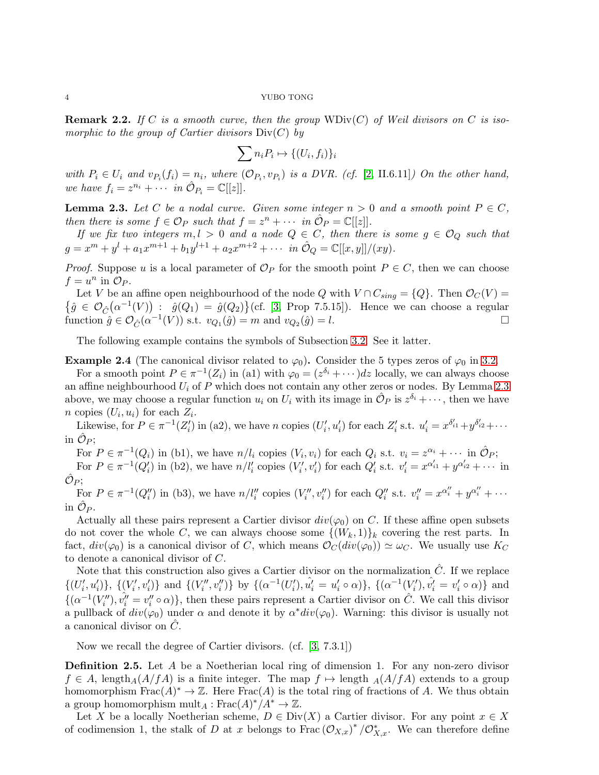**Remark 2.2.** If C is a smooth curve, then the group  $WDiv(C)$  of Weil divisors on C is isomorphic to the group of Cartier divisors  $Div(C)$  by

$$
\sum n_i P_i \mapsto \{ (U_i, f_i) \}_i
$$

with  $P_i \in U_i$  and  $v_{P_i}(f_i) = n_i$ , where  $(\mathcal{O}_{P_i}, v_{P_i})$  is a DVR. (cf. [\[2,](#page-17-11) II.6.11]) On the other hand, we have  $f_i = z^{n_i} + \cdots$  in  $\hat{\mathcal{O}}_{P_i} = \mathbb{C}[[z]].$ 

<span id="page-3-0"></span>**Lemma 2.3.** Let C be a nodal curve. Given some integer  $n > 0$  and a smooth point  $P \in C$ , then there is some  $f \in \mathcal{O}_P$  such that  $f = z^n + \cdots$  in  $\hat{\mathcal{O}}_P = \mathbb{C}[[z]]$ .

If we fix two integers  $m, l > 0$  and a node  $Q \in C$ , then there is some  $g \in \mathcal{O}_Q$  such that  $g = x^m + y^l + a_1 x^{m+1} + b_1 y^{l+1} + a_2 x^{m+2} + \cdots$  in  $\hat{\mathcal{O}}_Q = \mathbb{C}[[x, y]]/(xy)$ .

*Proof.* Suppose u is a local parameter of  $\mathcal{O}_P$  for the smooth point  $P \in C$ , then we can choose  $f = u^n$  in  $\mathcal{O}_P$ .

Let V be an affine open neighbourhood of the node Q with  $V \cap C_{sing} = \{Q\}$ . Then  $\mathcal{O}_C(V) =$  $\{\hat{g} \in \mathcal{O}_{\hat{C}}(\alpha^{-1}(V)) : \hat{g}(Q_1) = \hat{g}(Q_2)\}\$  (cf. [\[3,](#page-17-12) Prop 7.5.15]). Hence we can choose a regular function  $\hat{g} \in \mathcal{O}_{\hat{C}}(\alpha^{-1}(V))$  s.t.  $v_{Q_1}(\hat{g}) = m$  and  $v_{Q_2}(\hat{g}) = l$ .

The following example contains the symbols of Subsection [3.2.](#page-6-0) See it latter.

<span id="page-3-1"></span>**Example 2.4** (The canonical divisor related to  $\varphi_0$ ). Consider the 5 types zeros of  $\varphi_0$  in [3.2.](#page-6-0)

For a smooth point  $P \in \pi^{-1}(Z_i)$  in (a1) with  $\varphi_0 = (z^{\delta_i} + \cdots)dz$  locally, we can always choose an affine neighbourhood  $U_i$  of P which does not contain any other zeros or nodes. By Lemma [2.3](#page-3-0) above, we may choose a regular function  $u_i$  on  $U_i$  with its image in  $\hat{\mathcal{O}}_P$  is  $z^{\delta_i} + \cdots$ , then we have *n* copies  $(U_i, u_i)$  for each  $Z_i$ .

Likewise, for  $P \in \pi^{-1}(Z'_i)$  in (a2), we have n copies  $(U'_i, u'_i)$  for each  $Z'_i$  s.t.  $u'_i = x^{\delta'_{i1}} + y^{\delta'_{i2}} + \cdots$ in  $\hat{\mathcal{O}}_P;$ 

For  $P \in \pi^{-1}(Q_i)$  in (b1), we have  $n/l_i$  copies  $(V_i, v_i)$  for each  $Q_i$  s.t.  $v_i = z^{\alpha_i} + \cdots$  in  $\hat{\mathcal{O}}_P$ ; For  $P \in \pi^{-1}(Q'_i)$  in (b2), we have  $n/l'_i$  copies  $(V'_i, v'_i)$  for each  $Q'_i$  s.t.  $v'_i = x^{\alpha'_{i1}} + y^{\alpha'_{i2}} + \cdots$  in  $\hat{\mathcal{O}}_P;$ 

For  $P \in \pi^{-1}(Q_i'')$  in (b3), we have  $n/l_i''$  copies  $(V_i'', v_i'')$  for each  $Q_i''$  s.t.  $v_i'' = x^{\alpha_i''} + y^{\alpha_i''} + \cdots$ in  $\hat{\mathcal{O}}_P$ .

Actually all these pairs represent a Cartier divisor  $div(\varphi_0)$  on C. If these affine open subsets do not cover the whole C, we can always choose some  $\{(W_k, 1)\}_k$  covering the rest parts. In fact,  $div(\varphi_0)$  is a canonical divisor of C, which means  $\mathcal{O}_C(div(\varphi_0)) \simeq \omega_C$ . We usually use  $K_C$ to denote a canonical divisor of C.

Note that this construction also gives a Cartier divisor on the normalization  $\hat{C}$ . If we replace  $\{(U'_i, u'_i)\}, \{(\overline{V'_i}, v'_i)\}\$ and  $\{(\overline{V''_i}, v''_i)\}\$ by  $\{(\alpha^{-1}(U'_i), \hat{u'_i} = u'_i \circ \alpha)\}, \{(\alpha^{-1}(V'_i), \hat{v'_i} = v'_i \circ \alpha)\}\$ and  $\{(\alpha^{-1}(V''_i), \hat{v''}_i = v''_i \circ \alpha)\}\,$ , then these pairs represent a Cartier divisor on  $\hat{C}$ . We call this divisor a pullback of  $div(\varphi_0)$  under  $\alpha$  and denote it by  $\alpha^*div(\varphi_0)$ . Warning: this divisor is usually not a canonical divisor on  $\hat{C}$ .

Now we recall the degree of Cartier divisors. (cf. [\[3,](#page-17-12) 7.3.1])

Definition 2.5. Let A be a Noetherian local ring of dimension 1. For any non-zero divisor  $f \in A$ , length $_A(A/fA)$  is a finite integer. The map  $f \mapsto$  length  $_A(A/fA)$  extends to a group homomorphism  $\text{Frac}(A)^* \to \mathbb{Z}$ . Here  $\text{Frac}(A)$  is the total ring of fractions of A. We thus obtain a group homomorphism  $\text{mult}_A : \text{Frac}(A)^*/A^* \to \mathbb{Z}$ .

Let X be a locally Noetherian scheme,  $D \in Div(X)$  a Cartier divisor. For any point  $x \in X$ of codimension 1, the stalk of D at x belongs to  $\text{Frac}(\mathcal{O}_{X,x})^*/\mathcal{O}_{X,x}^*$ . We can therefore define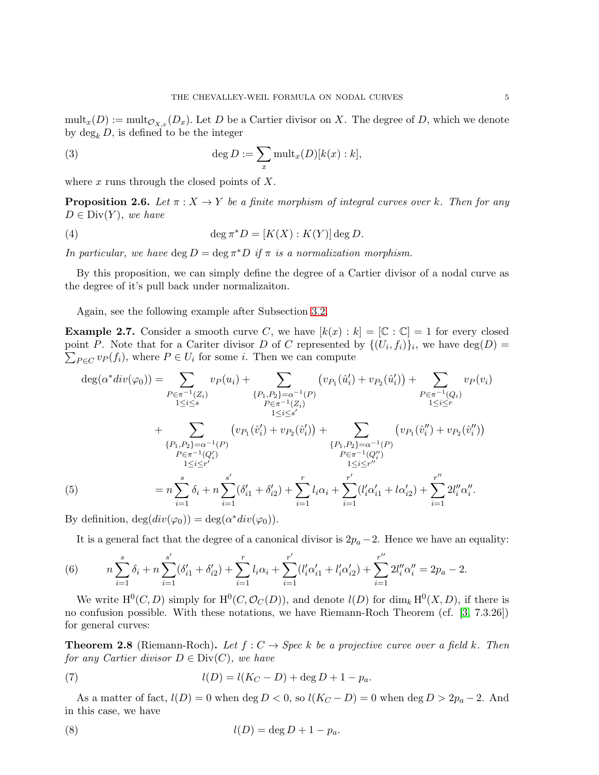$\text{mult}_{\mathcal{X}}(D) := \text{mult}_{\mathcal{O}_{X}}(D_x)$ . Let D be a Cartier divisor on X. The degree of D, which we denote by  $\deg_k D$ , is defined to be the integer

(3) 
$$
\deg D := \sum_{x} \text{mult}_{x}(D)[k(x):k],
$$

where  $x$  runs through the closed points of  $X$ .

**Proposition 2.6.** Let  $\pi$  :  $X \to Y$  be a finite morphism of integral curves over k. Then for any  $D \in Div(Y)$ , we have

(4) 
$$
\deg \pi^* D = [K(X) : K(Y)] \deg D.
$$

In particular, we have  $\deg D = \deg \pi^* D$  if  $\pi$  is a normalization morphism.

By this proposition, we can simply define the degree of a Cartier divisor of a nodal curve as the degree of it's pull back under normalizaiton.

Again, see the following example after Subsection [3.2.](#page-6-0)

**Example 2.7.** Consider a smooth curve C, we have  $[k(x) : k] = [\mathbb{C} : \mathbb{C}] = 1$  for every closed point P. Note that for a Cariter divisor D of C represented by  $\{(U_i, f_i)\}_i$ , we have  $\deg(D)$  $\sum_{P \in C} v_P(f_i)$ , where  $P \in U_i$  for some *i*. Then we can compute

$$
\deg(\alpha^* div(\varphi_0)) = \sum_{\substack{P \in \pi^{-1}(Z_i) \\ 1 \le i \le s}} v_P(u_i) + \sum_{\substack{\{P_1, P_2\} = \alpha^{-1}(P) \\ 1 \le i \le s'}} \left( v_{P_1}(\hat{u}'_i) + v_{P_2}(\hat{u}'_i) \right) + \sum_{\substack{P \in \pi^{-1}(Q_i) \\ 1 \le i \le r'}} v_P(v_i) \n+ \sum_{\substack{\{P_1, P_2\} = \alpha^{-1}(P) \\ P \in \pi^{-1}(Q'_i) \\ 1 \le i \le r'}} \left( v_{P_1}(\hat{v}'_i) + v_{P_2}(\hat{v}'_i) \right) + \sum_{\substack{\{P_1, P_2\} = \alpha^{-1}(P) \\ P \in \pi^{-1}(Q''_i) \\ 1 \le i \le r''}} \left( v_{P_1}(\hat{v}''_i) + v_{P_2}(\hat{v}''_i) \right)
$$
\n(5)\n
$$
= n \sum_{i=1}^s \delta_i + n \sum_{i=1}^s (\delta'_{i1} + \delta'_{i2}) + \sum_{i=1}^r l_i \alpha_i + \sum_{i=1}^{r'} (l'_i \alpha'_{i1} + l \alpha'_{i2}) + \sum_{i=1}^{r''} 2l''_i \alpha''_i.
$$
\nBy definition  $\deg(\deg(\varphi_0)) = \deg(\alpha^* div(\varphi_0))$ 

By definition,  $deg(div(\varphi_0)) = deg(\alpha^*div(\varphi_0)).$ 

It is a general fact that the degree of a canonical divisor is  $2p_a - 2$ . Hence we have an equality:

(6) 
$$
n\sum_{i=1}^{s} \delta_i + n\sum_{i=1}^{s'} (\delta'_{i1} + \delta'_{i2}) + \sum_{i=1}^{r} l_i \alpha_i + \sum_{i=1}^{r'} (l'_i \alpha'_{i1} + l'_i \alpha'_{i2}) + \sum_{i=1}^{r''} 2l''_i \alpha''_i = 2p_a - 2.
$$

We write  $\mathrm{H}^{0}(C, D)$  simply for  $\mathrm{H}^{0}(C, \mathcal{O}_{C}(D))$ , and denote  $l(D)$  for  $\dim_{k} \mathrm{H}^{0}(X, D)$ , if there is no confusion possible. With these notations, we have Riemann-Roch Theorem (cf. [\[3,](#page-17-12) 7.3.26]) for general curves:

<span id="page-4-1"></span>**Theorem 2.8** (Riemann-Roch). Let  $f: C \to \text{Spec } k$  be a projective curve over a field k. Then for any Cartier divisor  $D \in \text{Div}(C)$ , we have

(7) 
$$
l(D) = l(K_C - D) + \deg D + 1 - p_a.
$$

As a matter of fact,  $l(D) = 0$  when  $\deg D < 0$ , so  $l(K_C - D) = 0$  when  $\deg D > 2p_a - 2$ . And in this case, we have

<span id="page-4-0"></span>
$$
l(D) = \deg D + 1 - p_a.
$$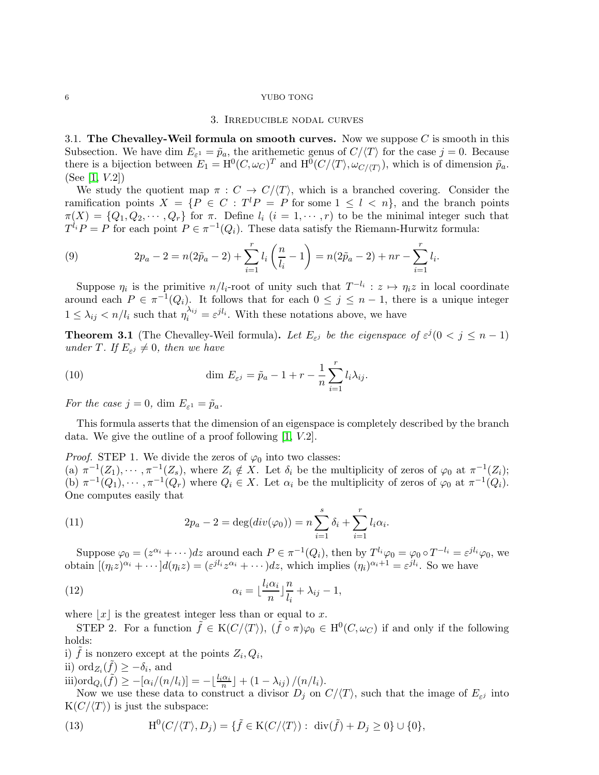# 3. Irreducible nodal curves

<span id="page-5-1"></span><span id="page-5-0"></span>3.1. The Chevalley-Weil formula on smooth curves. Now we suppose  $C$  is smooth in this Subsection. We have dim  $E_{\varepsilon^1} = \tilde{p}_a$ , the arithemetic genus of  $C/\langle T \rangle$  for the case  $j = 0$ . Because there is a bijection between  $E_1 = \mathrm{H}^0(C, \omega_C)^T$  and  $\mathrm{H}^0(C/\langle T \rangle, \omega_{C/\langle T \rangle})$ , which is of dimension  $\tilde{p}_a$ . (See [\[1,](#page-17-10) V.2])

We study the quotient map  $\pi : C \to C \langle T \rangle$ , which is a branched covering. Consider the ramification points  $X = \{P \in C : T^l P = P \text{ for some } 1 \leq l \leq n\}$ , and the branch points  $\pi(X) = \{Q_1, Q_2, \cdots, Q_r\}$  for  $\pi$ . Define  $l_i$   $(i = 1, \cdots, r)$  to be the minimal integer such that  $T^{l_i}P = P$  for each point  $P \in \pi^{-1}(Q_i)$ . These data satisfy the Riemann-Hurwitz formula:

<span id="page-5-2"></span>(9) 
$$
2p_a - 2 = n(2\tilde{p}_a - 2) + \sum_{i=1}^r l_i \left(\frac{n}{l_i} - 1\right) = n(2\tilde{p}_a - 2) + nr - \sum_{i=1}^r l_i.
$$

Suppose  $\eta_i$  is the primitive  $n/l_i$ -root of unity such that  $T^{-l_i}: z \mapsto \eta_i z$  in local coordinate around each  $P \in \pi^{-1}(Q_i)$ . It follows that for each  $0 \leq j \leq n-1$ , there is a unique integer  $1 \leq \lambda_{ij} < n/l_i$  such that  $\eta_i^{\lambda_{ij}} = \varepsilon^{jl_i}$ . With these notations above, we have

<span id="page-5-4"></span>**Theorem 3.1** (The Chevalley-Weil formula). Let  $E_{\varepsilon j}$  be the eigenspace of  $\varepsilon^{j}$  ( $0 < j \leq n-1$ ) under T. If  $E_{\varepsilon^j} \neq 0$ , then we have

<span id="page-5-3"></span>(10) 
$$
\dim E_{\varepsilon^j} = \tilde{p}_a - 1 + r - \frac{1}{n} \sum_{i=1}^r l_i \lambda_{ij}.
$$

For the case  $j = 0$ , dim  $E_{\varepsilon^1} = \tilde{p}_a$ .

This formula asserts that the dimension of an eigenspace is completely described by the branch data. We give the outline of a proof following [\[1,](#page-17-10) V.2].

*Proof.* STEP 1. We divide the zeros of  $\varphi_0$  into two classes: (a)  $\pi^{-1}(Z_1), \cdots, \pi^{-1}(Z_s)$ , where  $Z_i \notin X$ . Let  $\delta_i$  be the multiplicity of zeros of  $\varphi_0$  at  $\pi^{-1}(Z_i)$ ; (b)  $\pi^{-1}(Q_1), \cdots, \pi^{-1}(Q_r)$  where  $Q_i \in X$ . Let  $\alpha_i$  be the multiplicity of zeros of  $\varphi_0$  at  $\pi^{-1}(Q_i)$ . One computes easily that

(11) 
$$
2p_a - 2 = \deg(div(\varphi_0)) = n \sum_{i=1}^s \delta_i + \sum_{i=1}^r l_i \alpha_i.
$$

Suppose  $\varphi_0 = (z^{\alpha_i} + \cdots)dz$  around each  $P \in \pi^{-1}(Q_i)$ , then by  $T^{l_i}\varphi_0 = \varphi_0 \circ T^{-l_i} = \varepsilon^{jl_i}\varphi_0$ , we obtain  $[(\eta_i z)^{\alpha_i} + \cdots]d(\eta_i z) = (\varepsilon^{jl_i} z^{\alpha_i} + \cdots)dz$ , which implies  $(\eta_i)^{\alpha_i+1} = \varepsilon^{jl_i}$ . So we have

(12) 
$$
\alpha_i = \lfloor \frac{l_i \alpha_i}{n} \rfloor \frac{n}{l_i} + \lambda_{ij} - 1,
$$

where  $|x|$  is the greatest integer less than or equal to x.

STEP 2. For a function  $\tilde{f} \in K(C/\langle T \rangle)$ ,  $(\tilde{f} \circ \pi)\varphi_0 \in H^0(C, \omega_C)$  if and only if the following holds:

i)  $\tilde{f}$  is nonzero except at the points  $Z_i, Q_i$ ,

ii)  $\text{ord}_{Z_i}(\tilde{f}) \geq -\delta_i$ , and

iii)ord $_{Q_i}(\tilde{f}) \ge -[\alpha_i/(n/l_i)] = -\lfloor \frac{l_i \alpha_i}{n} \rfloor + (1 - \lambda_{ij})/(n/l_i).$ 

Now we use these data to construct a divisor  $D_j$  on  $C/\langle T \rangle$ , such that the image of  $E_{\varepsilon^j}$  into  $K(C/\langle T \rangle)$  is just the subspace:

(13) 
$$
H^{0}(C/\langle T\rangle,D_{j})=\{\tilde{f}\in K(C/\langle T\rangle):\ \operatorname{div}(\tilde{f})+D_{j}\geq 0\}\cup\{0\},
$$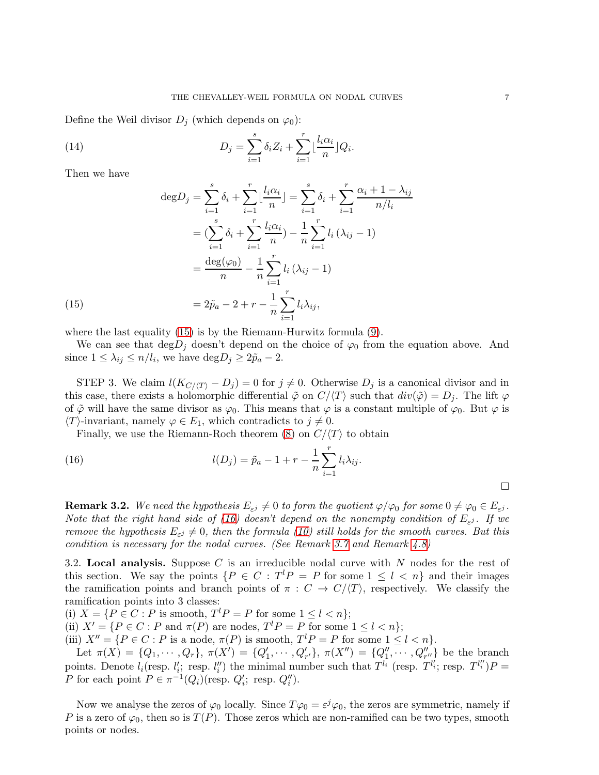Define the Weil divisor  $D_i$  (which depends on  $\varphi_0$ ):

(14) 
$$
D_j = \sum_{i=1}^s \delta_i Z_i + \sum_{i=1}^r \lfloor \frac{l_i \alpha_i}{n} \rfloor Q_i.
$$

Then we have

(15)  
\n
$$
\deg D_j = \sum_{i=1}^s \delta_i + \sum_{i=1}^r \lfloor \frac{l_i \alpha_i}{n} \rfloor = \sum_{i=1}^s \delta_i + \sum_{i=1}^r \frac{\alpha_i + 1 - \lambda_{ij}}{n/l_i}
$$
\n
$$
= (\sum_{i=1}^s \delta_i + \sum_{i=1}^r \frac{l_i \alpha_i}{n}) - \frac{1}{n} \sum_{i=1}^r l_i (\lambda_{ij} - 1)
$$
\n
$$
= \frac{\deg(\varphi_0)}{n} - \frac{1}{n} \sum_{i=1}^r l_i (\lambda_{ij} - 1)
$$
\n
$$
= 2\tilde{p}_a - 2 + r - \frac{1}{n} \sum_{i=1}^r l_i \lambda_{ij},
$$

<span id="page-6-2"></span>where the last equality [\(15\)](#page-6-2) is by the Riemann-Hurwitz formula [\(9\)](#page-5-2).

We can see that  $\deg D_j$  doesn't depend on the choice of  $\varphi_0$  from the equation above. And since  $1 \leq \lambda_{ij} \leq n/l_i$ , we have  $\text{deg} D_j \geq 2\tilde{p}_a - 2$ .

STEP 3. We claim  $l(K_{C/(T)} - D_i) = 0$  for  $j \neq 0$ . Otherwise  $D_i$  is a canonical divisor and in this case, there exists a holomorphic differential  $\tilde{\varphi}$  on  $C/\langle T \rangle$  such that  $div(\tilde{\varphi}) = D_j$ . The lift  $\varphi$ of  $\tilde{\varphi}$  will have the same divisor as  $\varphi_0$ . This means that  $\varphi$  is a constant multiple of  $\varphi_0$ . But  $\varphi$  is  $\langle T \rangle$ -invariant, namely  $\varphi \in E_1$ , which contradicts to  $j \neq 0$ .

Finally, we use the Riemann-Roch theorem [\(8\)](#page-4-0) on  $C/\langle T \rangle$  to obtain

<span id="page-6-3"></span>(16) 
$$
l(D_j) = \tilde{p}_a - 1 + r - \frac{1}{n} \sum_{i=1}^r l_i \lambda_{ij}.
$$

<span id="page-6-1"></span>**Remark 3.2.** We need the hypothesis  $E_{\varepsilon^j}\neq 0$  to form the quotient  $\varphi/\varphi_0$  for some  $0\neq \varphi_0\in E_{\varepsilon^j}.$ Note that the right hand side of [\(16\)](#page-6-3) doesn't depend on the nonempty condition of  $E_{\varepsilon}$ . If we remove the hypothesis  $E_{\varepsilon j} \neq 0$ , then the formula [\(10\)](#page-5-3) still holds for the smooth curves. But this condition is necessary for the nodal curves. (See Remark [3.7](#page-11-3) and Remark [4.8\)](#page-17-13)

<span id="page-6-0"></span>3.2. Local analysis. Suppose C is an irreducible nodal curve with  $N$  nodes for the rest of this section. We say the points  $\{P \in C : T^l P = P \text{ for some } 1 \leq l \leq n\}$  and their images the ramification points and branch points of  $\pi : C \to C/\langle T \rangle$ , respectively. We classify the ramification points into 3 classes:

(i)  $X = \{ P \in C : P \text{ is smooth}, T^l P = P \text{ for some } 1 \leq l < n \};$ 

(ii)  $X' = \{ P \in C : P \text{ and } \pi(P) \text{ are nodes, } T^l P = P \text{ for some } 1 \leq l < n \};$ 

(iii)  $X'' = \{ P \in C : P \text{ is a node}, \pi(P) \text{ is smooth}, T^l P = P \text{ for some } 1 \leq l < n \}.$ 

Let  $\pi(X) = \{Q_1, \dots, Q_r\}, \pi(X') = \{Q'_1, \dots, Q'_{r'}\}, \pi(X'') = \{Q''_1, \dots, Q''_{r''}\}\$ be the branch points. Denote  $l_i$  (resp.  $l'_i$ ) resp.  $l''_i$ ) the minimal number such that  $T^{l_i}$  (resp.  $T^{l'_i}$ ; resp.  $T^{l''_i}$ )  $P =$ P for each point  $P \in \pi^{-1}(Q_i)(\text{resp. } Q_i'; \text{ resp. } Q_i'').$ 

Now we analyse the zeros of  $\varphi_0$  locally. Since  $T\varphi_0 = \varepsilon^j \varphi_0$ , the zeros are symmetric, namely if P is a zero of  $\varphi_0$ , then so is  $T(P)$ . Those zeros which are non-ramified can be two types, smooth points or nodes.

 $\Box$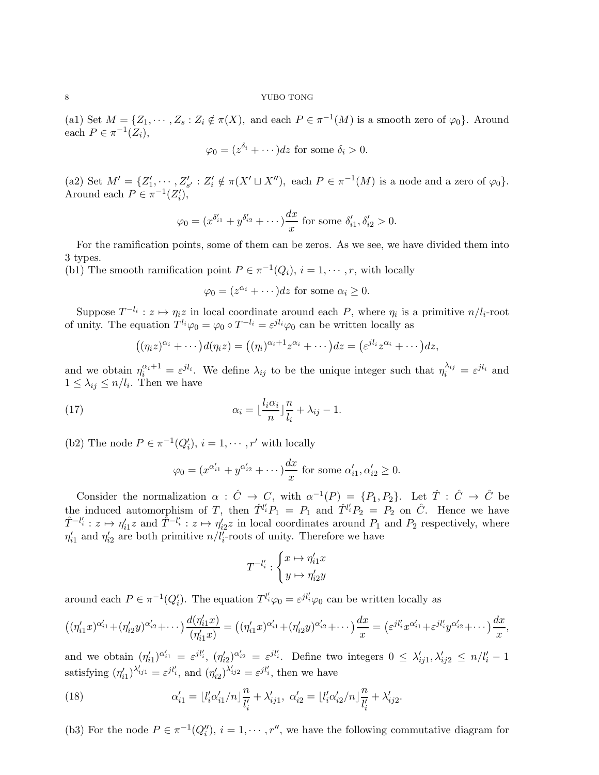(a1) Set  $M = \{Z_1, \dots, Z_s : Z_i \notin \pi(X), \text{ and each } P \in \pi^{-1}(M) \text{ is a smooth zero of } \varphi_0\}.$  Around each  $P \in \pi^{-1}(Z_i)$ ,

$$
\varphi_0 = (z^{\delta_i} + \cdots) dz
$$
 for some  $\delta_i > 0$ .

(a2) Set  $M' = \{Z'_1, \dots, Z'_{s'} : Z'_i \notin \pi(X' \sqcup X'')\}$ , each  $P \in \pi^{-1}(M)$  is a node and a zero of  $\varphi_0\}$ . Around each  $P \in \pi^{-1}(Z_i'),$ 

$$
\varphi_0 = (x^{\delta'_{i1}} + y^{\delta'_{i2}} + \cdots) \frac{dx}{x}
$$
 for some  $\delta'_{i1}, \delta'_{i2} > 0$ .

For the ramification points, some of them can be zeros. As we see, we have divided them into 3 types.

(b1) The smooth ramification point  $P \in \pi^{-1}(Q_i)$ ,  $i = 1, \dots, r$ , with locally

$$
\varphi_0 = (z^{\alpha_i} + \cdots)dz
$$
 for some  $\alpha_i \ge 0$ .

Suppose  $T^{-l_i}: z \mapsto \eta_i z$  in local coordinate around each P, where  $\eta_i$  is a primitive  $n/l_i$ -root of unity. The equation  $T^{l_i}\varphi_0 = \varphi_0 \circ T^{-l_i} = \varepsilon^{jl_i}\varphi_0$  can be written locally as

$$
((\eta_i z)^{\alpha_i} + \cdots) d(\eta_i z) = ((\eta_i)^{\alpha_i+1} z^{\alpha_i} + \cdots) dz = (\varepsilon^{j l_i} z^{\alpha_i} + \cdots) dz,
$$

and we obtain  $\eta_i^{\alpha_i+1} = \varepsilon^{jl_i}$ . We define  $\lambda_{ij}$  to be the unique integer such that  $\eta_i^{\lambda_{ij}} = \varepsilon^{jl_i}$  and  $1 \leq \lambda_{ij} \leq n/l_i$ . Then we have

(17) 
$$
\alpha_i = \lfloor \frac{l_i \alpha_i}{n} \rfloor \frac{n}{l_i} + \lambda_{ij} - 1.
$$

(b2) The node  $P \in \pi^{-1}(Q'_i)$ ,  $i = 1, \dots, r'$  with locally

$$
\varphi_0 = (x^{\alpha'_{i1}} + y^{\alpha'_{i2}} + \cdots) \frac{dx}{x}
$$
 for some  $\alpha'_{i1}, \alpha'_{i2} \ge 0$ .

Consider the normalization  $\alpha : \hat{C} \to C$ , with  $\alpha^{-1}(P) = \{P_1, P_2\}$ . Let  $\hat{T} : \hat{C} \to \hat{C}$  be the induced automorphism of T, then  $\hat{T}^{l_i'}P_1 = P_1$  and  $\hat{T}^{l_i'}P_2 = P_2$  on  $\hat{C}$ . Hence we have  $\hat{T}^{-l'_i}: z \mapsto \eta'_{i1}z$  and  $\hat{T}^{-l'_i}: z \mapsto \eta'_{i2}z$  in local coordinates around  $P_1$  and  $P_2$  respectively, where  $\eta'_{i1}$  and  $\eta'_{i2}$  are both primitive  $n/l'_i$ -roots of unity. Therefore we have

$$
T^{-l_i'}:\begin{cases}x\mapsto \eta_{i1}'x\\y\mapsto \eta_{i2}'y\end{cases}
$$

around each  $P \in \pi^{-1}(Q'_i)$ . The equation  $T^{l'_i}\varphi_0 = \varepsilon^{jl'_i}\varphi_0$  can be written locally as

$$
((\eta'_{i1}x)^{\alpha'_{i1}}+(\eta'_{i2}y)^{\alpha'_{i2}}+\cdots)\frac{d(\eta'_{i1}x)}{(\eta'_{i1}x)} = ((\eta'_{i1}x)^{\alpha'_{i1}}+(\eta'_{i2}y)^{\alpha'_{i2}}+\cdots)\frac{dx}{x} = (\varepsilon^{jl'_{i}}x^{\alpha'_{i1}}+\varepsilon^{jl'_{i}}y^{\alpha'_{i2}}+\cdots)\frac{dx}{x},
$$

and we obtain  $(\eta'_{i1})^{\alpha'_{i1}} = \varepsilon^{jl'_i}$ ,  $(\eta'_{i2})^{\alpha'_{i2}} = \varepsilon^{jl'_i}$ . Define two integers  $0 \leq \lambda'_{ij1}, \lambda'_{ij2} \leq n/l'_i - 1$ satisfying  $(\eta'_{i1})^{\lambda'_{ij1}} = \varepsilon^{jl'_i}$ , and  $(\eta'_{i2})^{\lambda'_{ij2}} = \varepsilon^{jl'_i}$ , then we have

(18) 
$$
\alpha'_{i1} = \lfloor l'_i \alpha'_{i1}/n \rfloor \frac{n}{l'_i} + \lambda'_{ij1}, \ \alpha'_{i2} = \lfloor l'_i \alpha'_{i2}/n \rfloor \frac{n}{l'_i} + \lambda'_{ij2}.
$$

(b3) For the node  $P \in \pi^{-1}(Q_i'')$ ,  $i = 1, \dots, r''$ , we have the following commutative diagram for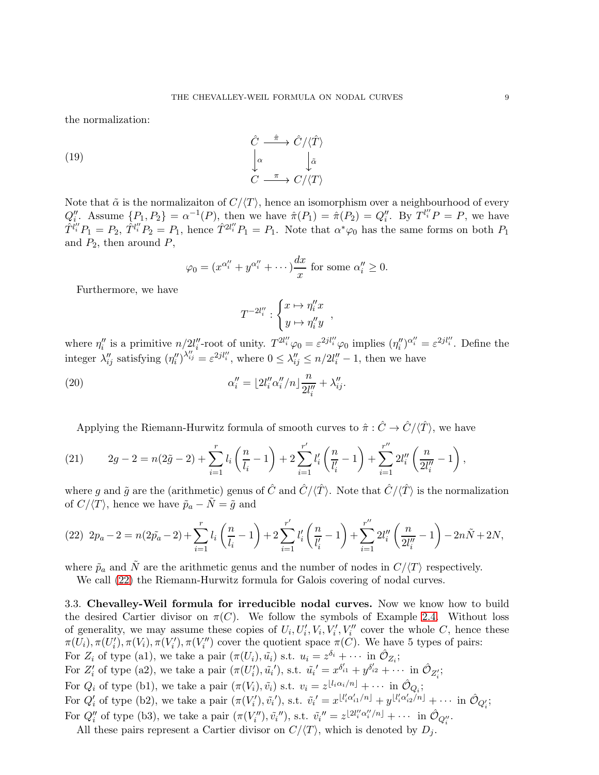the normalization:

(19) 
$$
\begin{array}{ccc}\n\hat{C} & \xrightarrow{\hat{\pi}} & \hat{C}/\langle \hat{T} \rangle \\
\downarrow^{\alpha} & & \downarrow \tilde{\alpha} \\
C & \xrightarrow{\pi} & C/\langle T \rangle\n\end{array}
$$

Note that  $\tilde{\alpha}$  is the normalizaiton of  $C/\langle T \rangle$ , hence an isomorphism over a neighbourhood of every  $Q''_i$ . Assume  $\{P_1, P_2\} = \alpha^{-1}(P)$ , then we have  $\hat{\pi}(P_1) = \hat{\pi}(P_2) = Q''_i$ . By  $T^{l''_i}P = P$ , we have  $\hat{T}^{l''_i}P_1 = P_2$ ,  $\hat{T}^{l''_i}P_2 = P_1$ , hence  $\hat{T}^{2l''_i}P_1 = P_1$ . Note that  $\alpha^*\varphi_0$  has the same forms on both  $P_1$ and  $P_2$ , then around  $P$ ,

$$
\varphi_0 = (x^{\alpha''_i} + y^{\alpha''_i} + \cdots) \frac{dx}{x} \text{ for some } \alpha''_i \ge 0.
$$

Furthermore, we have

$$
T^{-2l''_i} : \begin{cases} x \mapsto \eta''_i x \\ y \mapsto \eta''_i y \end{cases}
$$

where  $\eta''_i$  is a primitive  $n/2l''_i$ -root of unity.  $T^{2l''_i}\varphi_0 = \varepsilon^{2jl''_i}\varphi_0$  implies  $(\eta''_i)^{\alpha''_i} = \varepsilon^{2jl''_i}$ . Define the integer  $\lambda''_{ij}$  satisfying  $(\eta''_i)^{\lambda''_{ij}} = \varepsilon^{2jl''_i}$ , where  $0 \le \lambda''_{ij} \le n/2l''_i - 1$ , then we have

(20) 
$$
\alpha''_i = \lfloor 2l''_i \alpha''_i/n \rfloor \frac{n}{2l''_i} + \lambda''_{ij}.
$$

Applying the Riemann-Hurwitz formula of smooth curves to  $\hat{\pi} : \hat{C} \to \hat{C}/\langle \hat{T} \rangle$ , we have

(21) 
$$
2g - 2 = n(2\tilde{g} - 2) + \sum_{i=1}^r l_i \left(\frac{n}{l_i} - 1\right) + 2 \sum_{i=1}^{r'} l'_i \left(\frac{n}{l'_i} - 1\right) + \sum_{i=1}^{r''} 2l''_i \left(\frac{n}{2l''_i} - 1\right),
$$

where g and  $\tilde{g}$  are the (arithmetic) genus of  $\hat{C}$  and  $\hat{C}/\langle \hat{T} \rangle$ . Note that  $\hat{C}/\langle \hat{T} \rangle$  is the normalization of  $C/\langle T \rangle$ , hence we have  $\tilde{p}_a - \tilde{N} = \tilde{g}$  and

<span id="page-8-1"></span>
$$
(22) \ 2p_a - 2 = n(2\tilde{p}_a - 2) + \sum_{i=1}^r l_i \left(\frac{n}{l_i} - 1\right) + 2\sum_{i=1}^{r'} l'_i \left(\frac{n}{l'_i} - 1\right) + \sum_{i=1}^{r''} 2l''_i \left(\frac{n}{2l''_i} - 1\right) - 2n\tilde{N} + 2N,
$$

where  $\tilde{p}_a$  and  $\tilde{N}$  are the arithmetic genus and the number of nodes in  $C/\langle T \rangle$  respectively.

We call [\(22\)](#page-8-1) the Riemann-Hurwitz formula for Galois covering of nodal curves.

<span id="page-8-0"></span>3.3. Chevalley-Weil formula for irreducible nodal curves. Now we know how to build the desired Cartier divisor on  $\pi(C)$ . We follow the symbols of Example [2.4.](#page-3-1) Without loss of generality, we may assume these copies of  $U_i, U'_i, V_i, V''_i, V''_i$  cover the whole C, hence these  $\pi(U_i), \pi(U'_i), \pi(V'_i), \pi(V''_i)$  cover the quotient space  $\pi(C)$ . We have 5 types of pairs: For  $Z_i$  of type (a1), we take a pair  $(\pi(U_i), \tilde{u_i})$  s.t.  $u_i = z^{\delta_i} + \cdots$  in  $\hat{\mathcal{O}}_{Z_i}$ ; For  $Z'_i$  of type (a2), we take a pair  $(\pi(U'_i), \tilde{u_i}')$ , s.t.  $\tilde{u_i}' = x^{\delta'_{i1}} + y^{\delta'_{i2}} + \cdots$  in  $\hat{\mathcal{O}}_{Z'_i}$ ; For  $Q_i$  of type (b1), we take a pair  $(\pi(V_i), \tilde{v}_i)$  s.t.  $v_i = z^{\lfloor l_i \alpha_i/n \rfloor} + \cdots$  in  $\hat{\mathcal{O}}_{Q_i}$ ; For  $Q'_i$  of type (b2), we take a pair  $(\pi(V'_i), \tilde{v_i}')$ , s.t.  $\tilde{v_i}' = x^{\lfloor l'_i \alpha'_{i1}/n \rfloor} + y^{\lfloor l'_i \alpha'_{i2}/n \rfloor} + \cdots$  in  $\hat{O}_{Q'_i}$ ; For  $Q''_i$  of type (b3), we take a pair  $(\pi(V''_i), \tilde{v}_i'')$ , s.t.  $\tilde{v}_i'' = z^{\lfloor 2l''_i \alpha''_i/n \rfloor} + \cdots$  in  $\hat{\mathcal{O}}_{Q''_i}$ .

All these pairs represent a Cartier divisor on  $C/\langle T \rangle$ , which is denoted by  $D_j$ .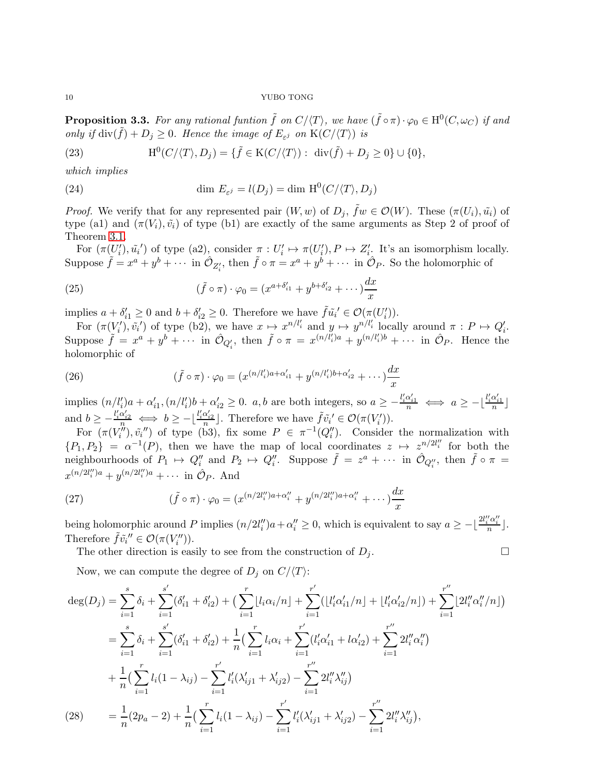<span id="page-9-0"></span>**Proposition 3.3.** For any rational funtion  $\tilde{f}$  on  $C/\langle T \rangle$ , we have  $(\tilde{f} \circ \pi) \cdot \varphi_0 \in H^0(C, \omega_C)$  if and only if  $\text{div}(\tilde{f}) + D_j \geq 0$ . Hence the image of  $E_{\varepsilon}$  on  $K(C/\langle T \rangle)$  is

(23) 
$$
\mathrm{H}^0(C/\langle T\rangle,D_j)=\{\tilde{f}\in \mathrm{K}(C/\langle T\rangle):\,\,\mathrm{div}(\tilde{f})+D_j\geq 0\}\cup\{0\},
$$

which implies

(24) 
$$
\dim E_{\varepsilon^j} = l(D_j) = \dim \mathrm{H}^0(C/\langle T \rangle, D_j)
$$

*Proof.* We verify that for any represented pair  $(W, w)$  of  $D_j$ ,  $\tilde{f}w \in \mathcal{O}(W)$ . These  $(\pi(U_i), \tilde{u}_i)$  of type (a1) and  $(\pi(V_i), \tilde{v}_i)$  of type (b1) are exactly of the same arguments as Step 2 of proof of Theorem [3.1.](#page-5-4)

For  $(\pi(U'_i), \tilde{u}'_i)$  of type (a2), consider  $\pi: U'_i \mapsto \pi(U'_i), P \mapsto Z'_i$ . It's an isomorphism locally. Suppose  $\tilde{f} = x^a + y^b + \cdots$  in  $\hat{\mathcal{O}}_{Z'_i}$ , then  $\tilde{f} \circ \pi = x^a + y^b + \cdots$  in  $\hat{\mathcal{O}}_P$ . So the holomorphic of

(25) 
$$
(\tilde{f} \circ \pi) \cdot \varphi_0 = (x^{a+\delta'_{i1}} + y^{b+\delta'_{i2}} + \cdots) \frac{dx}{x}
$$

implies  $a + \delta'_{i1} \geq 0$  and  $b + \delta'_{i2} \geq 0$ . Therefore we have  $\tilde{f} \tilde{u}_i' \in \mathcal{O}(\pi(U'_i)).$ 

For  $(\pi(V_i'), \tilde{v_i}')$  of type (b2), we have  $x \mapsto x^{n/l_i'}$  and  $y \mapsto y^{n/l_i'}$  locally around  $\pi : P \mapsto Q_i'$ . Suppose  $\tilde{f} = x^a + y^b + \cdots$  in  $\hat{\mathcal{O}}_{Q'_i}$ , then  $\tilde{f} \circ \pi = x^{(n/l'_i)a} + y^{(n/l'_i)b} + \cdots$  in  $\hat{\mathcal{O}}_P$ . Hence the holomorphic of

(26) 
$$
(\tilde{f} \circ \pi) \cdot \varphi_0 = (x^{(n/l'_i)a + \alpha'_{i1}} + y^{(n/l'_i)b + \alpha'_{i2}} + \cdots) \frac{dx}{x}
$$

implies  $(n/l'_i)a + \alpha'_{i1}, (n/l'_i)b + \alpha'_{i2} \ge 0$ . a, b are both integers, so  $a \ge -\frac{l'_i\alpha'_{i1}}{n} \iff a \ge -\frac{l'_i\alpha'_{i1}}{n}$ and  $b \geq -\frac{l'_i \alpha'_{i2}}{n} \iff b \geq -\lfloor \frac{l'_i \alpha'_{i2}}{n} \rfloor$ . Therefore we have  $\tilde{f} \tilde{v_i}' \in \mathcal{O}(\pi(V'_i))$ .

For  $(\pi(V''_i), \tilde{v''}_i)$  of type (b3), fix some  $P \in \pi^{-1}(Q''_i)$ . Consider the normalization with  $\{P_1, P_2\} = \alpha^{-1}(P)$ , then we have the map of local coordinates  $z \mapsto z^{n/2l''_i}$  for both the neighbourhoods of  $P_1 \mapsto Q''_i$  and  $P_2 \mapsto Q''_i$ . Suppose  $\tilde{f} = z^a + \cdots$  in  $\hat{\mathcal{O}}_{Q''_i}$ , then  $\tilde{f} \circ \pi =$  $x^{(n/2l''_i)a} + y^{(n/2l''_i)a} + \cdots$  in  $\hat{\mathcal{O}}_{P}$ . And

(27) 
$$
(\tilde{f} \circ \pi) \cdot \varphi_0 = (x^{(n/2l_i'')a + \alpha_i''} + y^{(n/2l_i'')a + \alpha_i''} + \cdots) \frac{dx}{x}
$$

being holomorphic around P implies  $(n/2l''_i)a + \alpha''_i \ge 0$ , which is equivalent to say  $a \ge -\frac{2l''_i\alpha''_i}{n}$ . Therefore  $\tilde{f}\tilde{v_i}'' \in \mathcal{O}(\pi(V''_i)).$ 

The other direction is easily to see from the construction of  $D_j$ .

Now, we can compute the degree of  $D_j$  on  $C/\langle T \rangle$ :

$$
\deg(D_j) = \sum_{i=1}^s \delta_i + \sum_{i=1}^{s'} (\delta_{i1}' + \delta_{i2}') + \left(\sum_{i=1}^r \lfloor l_i \alpha_i / n \rfloor + \sum_{i=1}^{r'} (\lfloor l_i' \alpha_{i1}' / n \rfloor + \lfloor l_i' \alpha_{i2}' / n \rfloor) + \sum_{i=1}^{r''} \lfloor 2l_i'' \alpha_i'' / n \rfloor\right)
$$
  
\n
$$
= \sum_{i=1}^s \delta_i + \sum_{i=1}^{s'} (\delta_{i1}' + \delta_{i2}') + \frac{1}{n} \left(\sum_{i=1}^r l_i \alpha_i + \sum_{i=1}^{r'} (\lfloor l_i' \alpha_{i1}' + \lfloor l_i \alpha_{i2}' \rfloor) + \sum_{i=1}^{r''} 2l_i'' \alpha_i''\right)
$$
  
\n
$$
+ \frac{1}{n} \left(\sum_{i=1}^r l_i (1 - \lambda_{ij}) - \sum_{i=1}^{r'} l_i' (\lambda_{ij1}' + \lambda_{ij2}') - \sum_{i=1}^{r''} 2l_i'' \lambda_{ij}''\right)
$$
  
\n(28) 
$$
= \frac{1}{n} (2p_a - 2) + \frac{1}{n} \left(\sum_{i=1}^r l_i (1 - \lambda_{ij}) - \sum_{i=1}^{r'} l_i' (\lambda_{ij1}' + \lambda_{ij2}') - \sum_{i=1}^{r''} 2l_i'' \lambda_{ij}''\right),
$$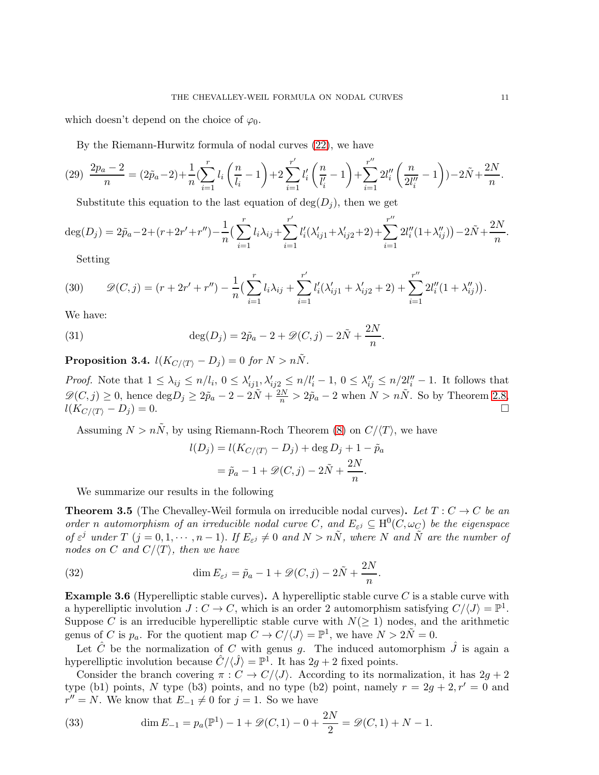which doesn't depend on the choice of  $\varphi_0$ .

By the Riemann-Hurwitz formula of nodal curves [\(22\)](#page-8-1), we have

$$
(29) \frac{2p_a - 2}{n} = (2\tilde{p}_a - 2) + \frac{1}{n} \left( \sum_{i=1}^r l_i \left( \frac{n}{l_i} - 1 \right) + 2 \sum_{i=1}^{r'} l'_i \left( \frac{n}{l'_i} - 1 \right) + \sum_{i=1}^{r''} 2l''_i \left( \frac{n}{2l''_i} - 1 \right) \right) - 2\tilde{N} + \frac{2N}{n}.
$$

Substitute this equation to the last equation of  $deg(D_i)$ , then we get

$$
\deg(D_j) = 2\tilde{p}_a - 2 + (r + 2r' + r'') - \frac{1}{n} \left( \sum_{i=1}^r l_i \lambda_{ij} + \sum_{i=1}^{r'} l'_i (\lambda'_{ij1} + \lambda'_{ij2} + 2) + \sum_{i=1}^{r''} 2l''_i (1 + \lambda''_{ij}) \right) - 2\tilde{N} + \frac{2N}{n}.
$$

<span id="page-10-0"></span>Setting

(30) 
$$
\mathscr{D}(C,j) = (r + 2r' + r'') - \frac{1}{n} \left( \sum_{i=1}^r l_i \lambda_{ij} + \sum_{i=1}^{r'} l'_i (\lambda'_{ij1} + \lambda'_{ij2} + 2) + \sum_{i=1}^{r''} 2l''_i (1 + \lambda''_{ij}) \right).
$$

We have:

(31) 
$$
\deg(D_j) = 2\tilde{p}_a - 2 + \mathcal{D}(C, j) - 2\tilde{N} + \frac{2N}{n}.
$$

**Proposition 3.4.**  $l(K_{C/(T)} - D_j) = 0$  for  $N > n\tilde{N}$ .

*Proof.* Note that  $1 \leq \lambda_{ij} \leq n/l_i$ ,  $0 \leq \lambda'_{ij1}, \lambda'_{ij2} \leq n/l'_i - 1$ ,  $0 \leq \lambda''_{ij} \leq n/2l''_i - 1$ . It follows that  $\mathscr{D}(C, j) \geq 0$ , hence  $\deg D_j \geq 2\tilde{p}_a - 2 - 2\tilde{N} + \frac{2N}{n} > 2\tilde{p}_a - 2$  when  $N > n\tilde{N}$ . So by Theorem [2.8,](#page-4-1)  $l(K_{C/\langle T \rangle} - D_j) = 0.$ 

Assuming  $N > n\tilde{N}$ , by using Riemann-Roch Theorem [\(8\)](#page-4-0) on  $C/\langle T \rangle$ , we have

$$
l(D_j) = l(K_{C/\langle T \rangle} - D_j) + \deg D_j + 1 - \tilde{p}_a
$$
  
=  $\tilde{p}_a - 1 + \mathcal{D}(C, j) - 2\tilde{N} + \frac{2N}{n}.$ 

We summarize our results in the following

**Theorem 3.5** (The Chevalley-Weil formula on irreducible nodal curves). Let  $T: C \to C$  be an order n automorphism of an irreducible nodal curve C, and  $E_{\varepsilon^j} \subseteq H^0(C, \omega_C)$  be the eigenspace of  $\varepsilon^j$  under  $T$   $(j = 0, 1, \dots, n-1)$ . If  $E_{\varepsilon^j} \neq 0$  and  $N > n\tilde{N}$ , where N and  $\tilde{N}$  are the number of nodes on C and  $C/\langle T \rangle$ , then we have

<span id="page-10-1"></span>(32) 
$$
\dim E_{\varepsilon^j} = \tilde{p}_a - 1 + \mathscr{D}(C, j) - 2\tilde{N} + \frac{2N}{n}.
$$

**Example 3.6** (Hyperelliptic stable curves). A hyperelliptic stable curve C is a stable curve with a hyperelliptic involution  $J: C \to C$ , which is an order 2 automorphism satisfying  $C/\langle J \rangle = \mathbb{P}^1$ . Suppose C is an irreducible hyperelliptic stable curve with  $N(\geq 1)$  nodes, and the arithmetic genus of C is  $p_a$ . For the quotient map  $C \to C/\langle J \rangle = \mathbb{P}^1$ , we have  $N > 2\tilde{N} = 0$ .

Let  $\hat{C}$  be the normalization of C with genus g. The induced automorphism  $\hat{J}$  is again a hyperelliptic involution because  $\hat{C}/\langle \hat{J} \rangle = \mathbb{P}^1$ . It has  $2g + 2$  fixed points.

Consider the branch covering  $\pi: C \to C/\langle J \rangle$ . According to its normalization, it has  $2g + 2$ type (b1) points, N type (b3) points, and no type (b2) point, namely  $r = 2g + 2, r' = 0$  and  $r'' = N$ . We know that  $E_{-1} \neq 0$  for  $j = 1$ . So we have

(33) 
$$
\dim E_{-1} = p_a(\mathbb{P}^1) - 1 + \mathcal{D}(C, 1) - 0 + \frac{2N}{2} = \mathcal{D}(C, 1) + N - 1.
$$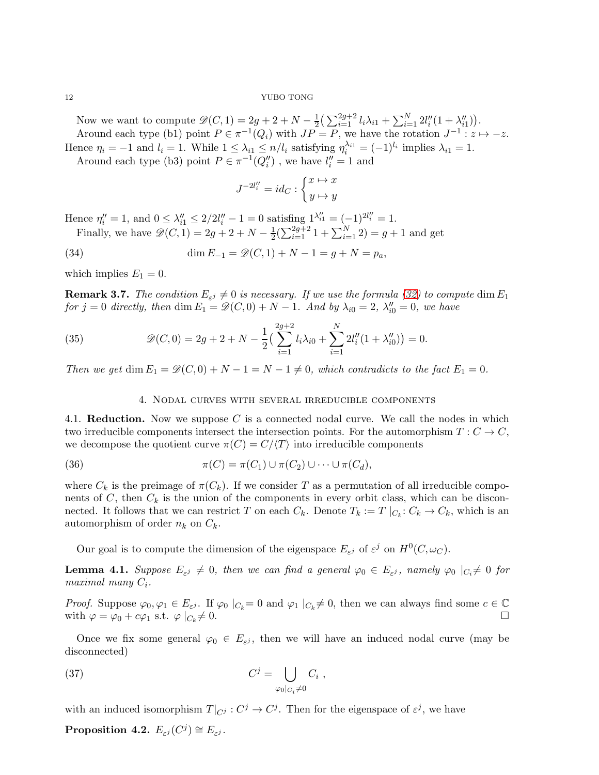Now we want to compute  $\mathscr{D}(C, 1) = 2g + 2 + N - \frac{1}{2} \left( \sum_{i=1}^{2g+2} l_i \lambda_{i1} + \sum_{i=1}^{N} 2l''_i (1 + \lambda''_{i1}) \right)$ . Around each type (b1) point  $P \in \pi^{-1}(Q_i)$  with  $JP = P$ , we have the rotation  $J^{-1}$ :  $z \mapsto -z$ . Hence  $\eta_i = -1$  and  $l_i = 1$ . While  $1 \leq \lambda_{i1} \leq n/l_i$  satisfying  $\eta_i^{\lambda_{i1}} = (-1)^{l_i}$  implies  $\lambda_{i1} = 1$ .

Around each type (b3) point  $P \in \pi^{-1}(Q_i'')$ , we have  $l_i'' = 1$  and

$$
J^{-2l_i''} = id_C : \begin{cases} x \mapsto x \\ y \mapsto y \end{cases}
$$

Hence  $\eta''_i = 1$ , and  $0 \leq \lambda''_{i1} \leq 2/2l''_i - 1 = 0$  satisfing  $1^{\lambda''_{i1}} = (-1)^{2l''_i} = 1$ . Finally, we have  $\mathscr{D}(C, 1) = 2g + 2 + N - \frac{1}{2}$  $\frac{1}{2}(\sum_{i=1}^{2g+2} 1 + \sum_{i=1}^{N} 2) = g + 1$  and get

(34) 
$$
\dim E_{-1} = \mathcal{D}(C, 1) + N - 1 = g + N = p_a,
$$

which implies  $E_1 = 0$ .

<span id="page-11-3"></span>**Remark 3.7.** The condition  $E_{\varepsilon^j} \neq 0$  is necessary. If we use the formula [\(32\)](#page-10-1) to compute  $\dim E_1$ for  $j = 0$  directly, then  $\dim E_1 = \mathscr{D}(C, 0) + N - 1$ . And by  $\lambda_{i0} = 2$ ,  $\lambda''_{i0} = 0$ , we have

(35) 
$$
\mathscr{D}(C,0) = 2g + 2 + N - \frac{1}{2} \left( \sum_{i=1}^{2g+2} l_i \lambda_{i0} + \sum_{i=1}^N 2l''_i (1 + \lambda''_{i0}) \right) = 0.
$$

<span id="page-11-0"></span>Then we get  $\dim E_1 = \mathcal{D}(C, 0) + N - 1 = N - 1 \neq 0$ , which contradicts to the fact  $E_1 = 0$ .

# 4. Nodal curves with several irreducible components

<span id="page-11-1"></span>4.1. **Reduction.** Now we suppose  $C$  is a connected nodal curve. We call the nodes in which two irreducible components intersect the intersection points. For the automorphism  $T: C \to C$ , we decompose the quotient curve  $\pi(C) = C/\langle T \rangle$  into irreducible components

(36) 
$$
\pi(C) = \pi(C_1) \cup \pi(C_2) \cup \cdots \cup \pi(C_d),
$$

where  $C_k$  is the preimage of  $\pi(C_k)$ . If we consider T as a permutation of all irreducible components of  $C$ , then  $C_k$  is the union of the components in every orbit class, which can be disconnected. It follows that we can restrict T on each  $C_k$ . Denote  $T_k := T \mid_{C_k}: C_k \to C_k$ , which is an automorphism of order  $n_k$  on  $C_k$ .

Our goal is to compute the dimension of the eigenspace  $E_{\varepsilon j}$  of  $\varepsilon^j$  on  $H^0(C, \omega_C)$ .

<span id="page-11-2"></span>**Lemma 4.1.** Suppose  $E_{\varepsilon^j} \neq 0$ , then we can find a general  $\varphi_0 \in E_{\varepsilon^j}$ , namely  $\varphi_0 \mid_{C_i} \neq 0$  for  $maximal$  many  $C_i$ .

*Proof.* Suppose  $\varphi_0, \varphi_1 \in E_{\varepsilon}$ . If  $\varphi_0 \mid_{C_k} = 0$  and  $\varphi_1 \mid_{C_k} \neq 0$ , then we can always find some  $c \in \mathbb{C}$ with  $\varphi = \varphi_0 + c\varphi_1$  s.t.  $\varphi |_{C_k} \neq 0$ .  $\neq 0.$ 

Once we fix some general  $\varphi_0 \in E_{\varepsilon^j}$ , then we will have an induced nodal curve (may be disconnected)

(37) 
$$
C^j = \bigcup_{\varphi_0|_{C_i} \neq 0} C_i ,
$$

with an induced isomorphism  $T|_{C^j} : C^j \to C^j$ . Then for the eigenspace of  $\varepsilon^j$ , we have

Proposition 4.2.  $E_{\varepsilon^j}(C^j) \cong E_{\varepsilon^j}$ .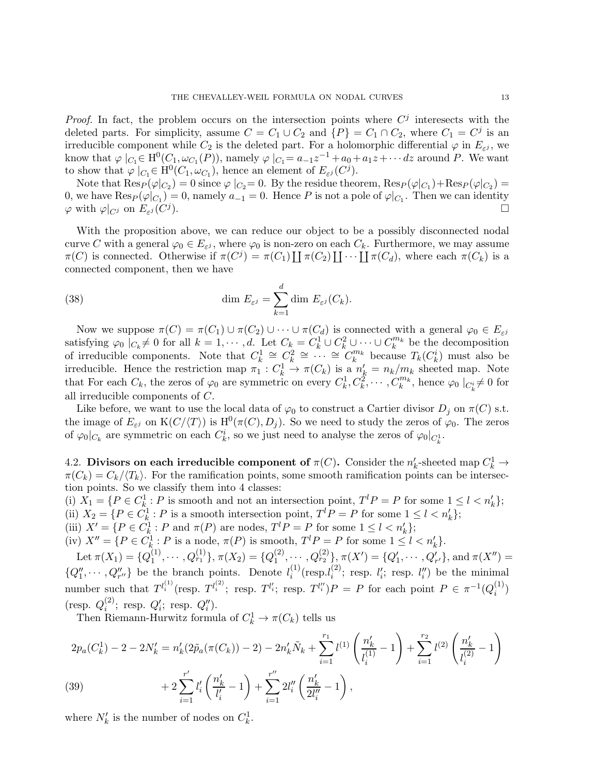*Proof.* In fact, the problem occurs on the intersection points where  $C<sup>j</sup>$  interesects with the deleted parts. For simplicity, assume  $C = C_1 \cup C_2$  and  $\{P\} = C_1 \cap C_2$ , where  $C_1 = C^j$  is an irreducible component while  $C_2$  is the deleted part. For a holomorphic differential  $\varphi$  in  $E_{\varepsilon^j}$ , we know that  $\varphi \mid_{C_1} \in H^0(C_1, \omega_{C_1}(P))$ , namely  $\varphi \mid_{C_1} = a_{-1}z^{-1} + a_0 + a_1z + \cdots dz$  around P. We want to show that  $\varphi \mid_{C_1} \in H^0(C_1, \omega_{C_1})$ , hence an element of  $E_{\varepsilon^j}(C^j)$ .

Note that  $\text{Res}_P(\varphi|_{C_2}) = 0$  since  $\varphi|_{C_2} = 0$ . By the residue theorem,  $\text{Res}_P(\varphi|_{C_1}) + \text{Res}_P(\varphi|_{C_2}) = 0$ 0, we have  $\text{Res}_P(\varphi|_{C_1})=0$ , namely  $a_{-1}=0$ . Hence P is not a pole of  $\varphi|_{C_1}$ . Then we can identity  $\varphi$  with  $\varphi|_{C_j}$  on  $E_{\varepsilon^j}(C^j)$ ).

With the proposition above, we can reduce our object to be a possibly disconnected nodal curve C with a general  $\varphi_0 \in E_{\varepsilon^j}$ , where  $\varphi_0$  is non-zero on each  $C_k$ . Furthermore, we may assume  $\pi(C)$  is connected. Otherwise if  $\pi(C^j) = \pi(C_1) \coprod \pi(C_2) \coprod \cdots \coprod \pi(C_d)$ , where each  $\pi(C_k)$  is a connected component, then we have

(38) 
$$
\dim E_{\varepsilon^j} = \sum_{k=1}^d \dim E_{\varepsilon^j}(C_k).
$$

Now we suppose  $\pi(C) = \pi(C_1) \cup \pi(C_2) \cup \cdots \cup \pi(C_d)$  is connected with a general  $\varphi_0 \in E_{\varepsilon^j}$ satisfying  $\varphi_0$   $|_{C_k} \neq 0$  for all  $k = 1, \dots, d$ . Let  $C_k = C_k^1 \cup C_k^2 \cup \dots \cup C_k^{m_k}$  be the decomposition of irreducible components. Note that  $C_k^1 \cong C_k^2 \cong \cdots \cong C_k^{m_k}$  because  $T_k(C_k^i)$  must also be irreducible. Hence the restriction map  $\pi_1: C_k^1 \to \pi(C_k)$  is a  $n'_k = n_k/m_k$  sheeted map. Note that For each  $C_k$ , the zeros of  $\varphi_0$  are symmetric on every  $C_k^1, C_k^2, \cdots, C_k^{m_k}$ , hence  $\varphi_0 \mid_{C_k^i} \neq 0$  for all irreducible components of C.

Like before, we want to use the local data of  $\varphi_0$  to construct a Cartier divisor  $D_i$  on  $\pi(C)$  s.t. the image of  $E_{\varepsilon}$  on  $K(C/\langle T \rangle)$  is  $H^0(\pi(C), D_j)$ . So we need to study the zeros of  $\varphi_0$ . The zeros of  $\varphi_0|_{C_k}$  are symmetric on each  $C_k^i$ , so we just need to analyse the zeros of  $\varphi_0|_{C_k^1}$ .

<span id="page-12-0"></span>4.2. Divisors on each irreducible component of  $\pi(C)$ . Consider the  $n'_{k}$ -sheeted map  $C_{k}^{1} \rightarrow$  $\pi(C_k) = C_k / \langle T_k \rangle$ . For the ramification points, some smooth ramification points can be intersection points. So we classify them into 4 classes:

(i)  $X_1 = \{P \in C_k^1 : P \text{ is smooth and not an intersection point, } T^l P = P \text{ for some } 1 \leq l < n'_k\};$ (ii)  $X_2 = \{P \in C_k^1 : P \text{ is a smooth intersection point, } T^l P = P \text{ for some } 1 \leq l < n'_k\};$ (iii)  $X' = \{ P \in C^1_k : P \text{ and } \pi(P) \text{ are nodes, } T^l P = P \text{ for some } 1 \leq l < n'_k \};$ 

(iv)  $X'' = \{ P \in C^1_k : P \text{ is a node, } \pi(P) \text{ is smooth, } T^l P = P \text{ for some } 1 \leq l < n'_k \}.$ 

Let  $\pi(X_1) = \{Q_1^{(1)}\}$  $\mathcal{O}_1^{(1)}, \cdots, \mathcal{O}_{r_1}^{(1)}\}, \pi(X_2) = \{Q_1^{(2)}\}$  $\{Q_1^{(2)}, \cdots, Q_{r_2}^{(2)}\}, \pi(X') = \{Q'_1, \cdots, Q'_{r'}\}, \text{and } \pi(X'') =$  ${Q''_1, \cdots, Q''_{r''}}$  be the branch points. Denote  $l_i^{(1)}$  $i^{(1)}$  (resp. $l_i^{(2)}$  $i^{(2)}$ ; resp.  $l_i'$ ; resp.  $l_i''$ ) be the minimal number such that  $T^{l_i^{(1)}}$  (resp.  $T^{l_i^{(2)}}$ ; resp.  $T^{l_i'}$ ; resp.  $T^{l_i''}$ ) $P = P$  for each point  $P \in \pi^{-1}(Q_i^{(1)})$  $\binom{1}{i}$ (resp.  $Q_i^{(2)}$  $i^{(2)}$ ; resp.  $Q'_{i}$ ; resp.  $Q''_{i}$ ).

Then Riemann-Hurwitz formula of  $C_k^1 \to \pi(C_k)$  tells us

$$
2p_a(C_k^1) - 2 - 2N'_k = n'_k(2\tilde{p}_a(\pi(C_k)) - 2) - 2n'_k\tilde{N}_k + \sum_{i=1}^{r_1} l^{(1)}\left(\frac{n'_k}{l_i^{(1)}} - 1\right) + \sum_{i=1}^{r_2} l^{(2)}\left(\frac{n'_k}{l_i^{(2)}} - 1\right)
$$
  
(39)  

$$
+ 2\sum_{i=1}^{r'} l'_i\left(\frac{n'_k}{l'_i} - 1\right) + \sum_{i=1}^{r''} 2l''_i\left(\frac{n'_k}{2l''_i} - 1\right),
$$

<span id="page-12-1"></span>where  $N'_k$  is the number of nodes on  $C_k^1$ .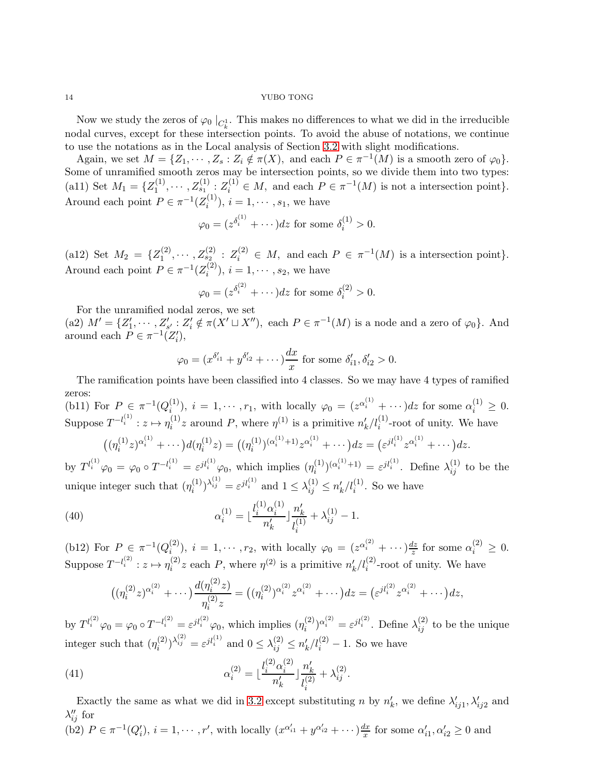Now we study the zeros of  $\varphi_0 \mid_{C^1_k}$ . This makes no differences to what we did in the irreducible nodal curves, except for these intersection points. To avoid the abuse of notations, we continue to use the notations as in the Local analysis of Section [3.2](#page-6-0) with slight modifications.

Again, we set  $M = \{Z_1, \dots, Z_s : Z_i \notin \pi(X)$ , and each  $P \in \pi^{-1}(M)$  is a smooth zero of  $\varphi_0\}.$ Some of unramified smooth zeros may be intersection points, so we divide them into two types: (a11) Set  $M_1 = \{Z_1^{(1)}\}$  $I_1^{(1)},\cdots, Z_{s_1}^{(1)}$ :  $Z_i^{(1)} \in M$ , and each  $P \in \pi^{-1}(M)$  is not a intersection point}. Around each point  $P \in \pi^{-1}(Z_i^{(1)})$  $(i^{(1)}_i), i = 1, \cdots, s_1$ , we have

$$
\varphi_0 = (z^{\delta_i^{(1)}} + \cdots) dz
$$
 for some  $\delta_i^{(1)} > 0$ .

(a12) Set  $M_2 = \{Z_1^{(2)}\}$  $I_1^{(2)}, \cdots, Z_{s_2}^{(2)}: Z_i^{(2)} \in M$ , and each  $P \in \pi^{-1}(M)$  is a intersection point}. Around each point  $P \in \pi^{-1}(Z_i^{(2)})$  $i^{(2)}$ ,  $i = 1, \dots, s_2$ , we have

$$
\varphi_0 = (z^{\delta_i^{(2)}} + \cdots) dz
$$
 for some  $\delta_i^{(2)} > 0$ .

For the unramified nodal zeros, we set (a2)  $M' = \{Z'_1, \dots, Z'_{s'} : Z'_i \notin \pi(X' \sqcup X'')\}$ , each  $P \in \pi^{-1}(M)$  is a node and a zero of  $\varphi_0\}$ . And around each  $P \in \pi^{-1}(Z_i'),$ 

$$
\varphi_0 = (x^{\delta'_{i1}} + y^{\delta'_{i2}} + \cdots) \frac{dx}{x}
$$
 for some  $\delta'_{i1}, \delta'_{i2} > 0$ .

The ramification points have been classified into 4 classes. So we may have 4 types of ramified zeros:

(b11) For  $P \in \pi^{-1}(Q_i^{(1)})$ (1),  $i = 1, \dots, r_1$ , with locally  $\varphi_0 = (z^{\alpha_i^{(1)}} + \dots) dz$  for some  $\alpha_i^{(1)} \geq 0$ . Suppose  $T^{-l_i^{(1)}}: z \mapsto \eta_i^{(1)}$  $i^{(1)}$  z around P, where  $\eta^{(1)}$  is a primitive  $n'_{k}/l^{(1)}_{i}$ -root of unity. We have

$$
((\eta_i^{(1)}z)^{\alpha_i^{(1)}} + \cdots) d(\eta_i^{(1)}z) = ((\eta_i^{(1)})^{(\alpha_i^{(1)}+1)}z^{\alpha_i^{(1)}} + \cdots) dz = (\varepsilon^{jl_i^{(1)}}z^{\alpha_i^{(1)}} + \cdots) dz.
$$
  
by  $T^{l_i^{(1)}}\varphi_0 = \varphi_0 \circ T^{-l_i^{(1)}} = \varepsilon^{jl_i^{(1)}}\varphi_0$ , which implies  $(\eta_i^{(1)})^{(\alpha_i^{(1)}+1)} = \varepsilon^{jl_i^{(1)}}$ . Define  $\lambda_{ij}^{(1)}$  to be the unique integer such that  $(\eta_i^{(1)})^{\lambda_{ij}^{(1)}} = \varepsilon^{jl_i^{(1)}}$  and  $1 \le \lambda_{ij}^{(1)} \le n_k'/l_i^{(1)}$ . So we have

(40) 
$$
\alpha_i^{(1)} = \lfloor \frac{l_i^{(1)} \alpha_i^{(1)}}{n_k'} \rfloor \frac{n_k'}{l_i^{(1)}} + \lambda_{ij}^{(1)} - 1.
$$

(b12) For  $P \in \pi^{-1}(Q_i^{(2)})$ (2),  $i = 1, \dots, r_2$ , with locally  $\varphi_0 = (z^{\alpha_i^{(2)}} + \dots) \frac{dz}{z}$  $\frac{dz}{z}$  for some  $\alpha_i^{(2)} \geq 0$ . Suppose  $T^{-l_i^{(2)}}: z \mapsto \eta_i^{(2)}$  $\binom{2}{i}$  a a primitive  $n'_k / l_i^{(2)}$ -root of unity. We have

$$
((\eta_i^{(2)}z)^{\alpha_i^{(2)}} + \cdots) \frac{d(\eta_i^{(2)}z)}{\eta_i^{(2)}z} = ((\eta_i^{(2)})^{\alpha_i^{(2)}} z^{\alpha_i^{(2)}} + \cdots) dz = (\varepsilon^{jl_i^{(2)}} z^{\alpha_i^{(2)}} + \cdots) dz,
$$

by  $T^{l_i^{(2)}}\varphi_0 = \varphi_0 \circ T^{-l_i^{(2)}} = \varepsilon^{jl_i^{(2)}}\varphi_0$ , which implies  $(\eta_i^{(2)})$  $\lambda_i^{(2)}\lambda_i^{(2)} = \varepsilon^{jl_i^{(2)}}$ . Define  $\lambda_{ij}^{(2)}$  to be the unique integer such that  $(\eta_i^{(2)}$  $\binom{(2)}{i}^{\lambda_{ij}^{(2)}} = \varepsilon^{jl_i^{(1)}}$  and  $0 \leq \lambda_{ij}^{(2)} \leq n'_k/l_i^{(2)} - 1$ . So we have

(41) 
$$
\alpha_i^{(2)} = \lfloor \frac{l_i^{(2)} \alpha_i^{(2)}}{n_k'} \rfloor \frac{n_k'}{l_i^{(2)}} + \lambda_{ij}^{(2)}.
$$

Exactly the same as what we did in [3.2](#page-6-0) except substituting n by  $n'_k$ , we define  $\lambda'_{ij1}, \lambda'_{ij2}$  and  $\lambda''_{ij}$  for

(b2) 
$$
P \in \pi^{-1}(Q'_i)
$$
,  $i = 1, \dots, r'$ , with locally  $(x^{\alpha'_{i1}} + y^{\alpha'_{i2}} + \dots) \frac{dx}{x}$  for some  $\alpha'_{i1}, \alpha'_{i2} \ge 0$  and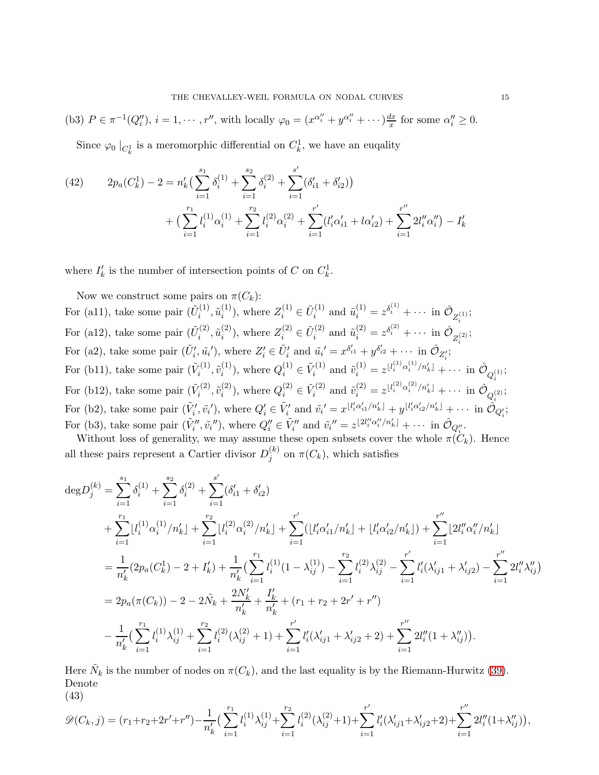(b3) 
$$
P \in \pi^{-1}(Q_i'')
$$
,  $i = 1, \dots, r''$ , with locally  $\varphi_0 = (x^{\alpha''}_i + y^{\alpha''}_i + \dots) \frac{dx}{x}$  for some  $\alpha''_i \geq 0$ .

Since  $\varphi_0 \mid_{C^1_k}$  is a meromorphic differential on  $C^1_k$ , we have an euqality

(42) 
$$
2p_a(C_k^1) - 2 = n'_k \left( \sum_{i=1}^{s_1} \delta_i^{(1)} + \sum_{i=1}^{s_2} \delta_i^{(2)} + \sum_{i=1}^{s'} (\delta_{i1}' + \delta_{i2}')
$$

$$
+ \left( \sum_{i=1}^{r_1} l_i^{(1)} \alpha_i^{(1)} + \sum_{i=1}^{r_2} l_i^{(2)} \alpha_i^{(2)} + \sum_{i=1}^{r'} (l'_i \alpha'_{i1} + l \alpha'_{i2}) + \sum_{i=1}^{r''} 2l''_i \alpha''_i \right) - I'_k
$$

where  $I'_{k}$  is the number of intersection points of C on  $C_{k}^{1}$ .

Now we construct some pairs on  $\pi(C_k)$ : For (a11), take some pair  $(\tilde{U}_i^{(1)})$  $\tilde{u}^{(1)}_i, \tilde{u}^{(1)}_i$  $\tilde{U}_i^{(1)}$ ), where  $Z_i^{(1)} \in \tilde{U}_i^{(1)}$  $\tilde{u}_i^{(1)}$  and  $\tilde{u}_i^{(1)} = z^{\delta_i^{(1)}} + \cdots$  in  $\hat{\mathcal{O}}_{Z_i^{(1)}}$ ; For (a12), take some pair  $(\tilde{U}_i^{(2)})$  $\tilde{u}^{(2)}_i, \tilde{u}^{(2)}_i$  $\tilde{U}_i^{(2)}$ ), where  $Z_i^{(2)} \in \tilde{U}_i^{(2)}$  $\tilde{u}_i^{(2)}$  and  $\tilde{u}_i^{(2)} = z^{\delta_i^{(2)}} + \cdots$  in  $\hat{\mathcal{O}}_{Z_i^{(2)}}$ ; For (a2), take some pair  $(\tilde{U}'_i, \tilde{u}_i')$ , where  $Z'_i \in \tilde{U}'_i$  and  $\tilde{u}_i' = x^{\delta'_{i1}} + y^{\delta'_{i2}} + \cdots$  in  $\hat{\mathcal{O}}_{Z'_i}$ ; For (b11), take some pair  $(\tilde{V}_i^{(1)})$  $\tilde{v}_i^{(1)}, \tilde{v}_i^{(1)}$  $i^{(1)}$ , where  $Q_i^{(1)} \in \tilde{V}_i^{(1)}$  $\tilde{v}_i^{(1)}$  and  $\tilde{v}_i^{(1)} = z^{\lfloor l_i^{(1)} \alpha_i^{(1)}/n_k' \rfloor} + \cdots$  in  $\hat{\mathcal{O}}_{Q_i^{(1)}}$ ; For (b12), take some pair  $(\tilde{V}_i^{(2)}, \tilde{v}_i^{(2)})$ , where  $Q_i^{(2)} \in \tilde{V}_i^{(2)}$  and  $\tilde{v}_i^{(2)} = z^{\lfloor l_i^{(2)} \alpha_i^{(2)}/n'_k \rfloor} + \cdots$  in  $\mathcal{O}_{\alpha^{(2)}}$  $\tilde{v}^{(2)}_i, \tilde{v}^{(2)}_i$  $i^{(2)}$ , where  $Q_i^{(2)} \in \tilde{V}_i^{(2)}$  $\tilde{v}_i^{(2)}$  and  $\tilde{v}_i^{(2)} = z^{\lfloor l_i^{(2)} \alpha_i^{(2)}/n_k' \rfloor} + \cdots$  in  $\hat{\mathcal{O}}_{Q_i^{(2)}}$ ; For (b2), take some pair  $(\tilde{V}'_i, \tilde{v}_i)$ , where  $Q'_i \in \tilde{V}'_i$  and  $\tilde{v}_i' = x^{\lfloor l'_i \alpha'_{i1}/n'_k \rfloor} + y^{\lfloor l'_i \alpha'_{i2}/n'_k \rfloor} + \cdots$  in  $\tilde{O}_{Q'_i}$ ; For (b3), take some pair  $(\tilde{V}_i'', \tilde{v}_i''),$  where  $Q_i'' \in \tilde{V}_i''$  and  $\tilde{v}_i'' = z^{\lfloor 2l''_i \alpha''_i/n'_k \rfloor} + \cdots$  in  $\hat{\mathcal{O}}_{Q_i''}.$ 

Without loss of generality, we may assume these open subsets cover the whole  $\pi(\tilde{C}_k)$ . Hence all these pairs represent a Cartier divisor  $D_i^{(k)}$  $j^{(k)}$  on  $\pi(C_k)$ , which satisfies

$$
\begin{split}\n&\deg D_{j}^{(k)} = \sum_{i=1}^{s_{1}} \delta_{i}^{(1)} + \sum_{i=1}^{s_{2}} \delta_{i}^{(2)} + \sum_{i=1}^{s'} (\delta_{i1}^{\prime} + \delta_{i2}^{\prime}) \\
&+ \sum_{i=1}^{r_{1}} \lfloor l_{i}^{(1)} \alpha_{i}^{(1)} / n_{k}^{\prime} \rfloor + \sum_{i=1}^{r_{2}} \lfloor l_{i}^{(2)} \alpha_{i}^{(2)} / n_{k}^{\prime} \rfloor + \sum_{i=1}^{r'} (\lfloor l_{i}^{\prime} \alpha_{i1}^{\prime} / n_{k}^{\prime} \rfloor + \lfloor l_{i}^{\prime} \alpha_{i2}^{\prime} / n_{k}^{\prime} \rfloor) + \sum_{i=1}^{r''} \lfloor 2l_{i}^{\prime \prime} \alpha_{i}^{\prime \prime} / n_{k}^{\prime} \rfloor \\
&= \frac{1}{n_{k}^{\prime}} (2p_{a}(C_{k}^{1}) - 2 + I_{k}^{\prime}) + \frac{1}{n_{k}^{\prime}} (\sum_{i=1}^{r_{1}} l_{i}^{(1)} (1 - \lambda_{ij}^{(1)}) - \sum_{i=1}^{r_{2}} l_{i}^{(2)} \lambda_{ij}^{(2)} - \sum_{i=1}^{r'} l_{i}^{\prime} (\lambda_{ij1}^{\prime} + \lambda_{ij2}^{\prime}) - \sum_{i=1}^{r''} 2l_{i}^{\prime \prime} \lambda_{ij}^{\prime \prime}) \\
&= 2p_{a}(\pi(C_{k})) - 2 - 2\tilde{N}_{k} + \frac{2N_{k}^{\prime}}{n_{k}^{\prime}} + \frac{I_{k}^{\prime}}{n_{k}^{\prime}} + (r_{1} + r_{2} + 2r' + r'') \\
&- \frac{1}{n_{k}^{\prime}} (\sum_{i=1}^{r_{1}} l_{i}^{(1)} \lambda_{ij}^{(1)} + \sum_{i=1}^{r_{2}} l_{i}^{(2)} (\lambda_{ij}^{(2)} + 1) + \sum_{i=1}^{r'} l_{i}^{\prime} (\lambda_{ij1}^{\prime} + \lambda_{ij2}^{\prime} + 2) + \sum_{i=1}^{r''} 2l_{i}^{\prime \prime} (1 + \lambda_{ij}^{\prime \prime})) .
$$

Here  $\tilde{N}_k$  is the number of nodes on  $\pi(C_k)$ , and the last equality is by the Riemann-Hurwitz [\(39\)](#page-12-1). Denote (43)

<span id="page-14-0"></span>
$$
\mathscr{D}(C_k,j)=(r_1+r_2+2r'+r'')-\frac{1}{n'_k}\left(\sum_{i=1}^{r_1}l_i^{(1)}\lambda_{ij}^{(1)}+\sum_{i=1}^{r_2}l_i^{(2)}(\lambda_{ij}^{(2)}+1)+\sum_{i=1}^{r'}l_i'(\lambda_{ij1}'+\lambda_{ij2}'+2)+\sum_{i=1}^{r''}2l_i''(1+\lambda_{ij}'')\right),
$$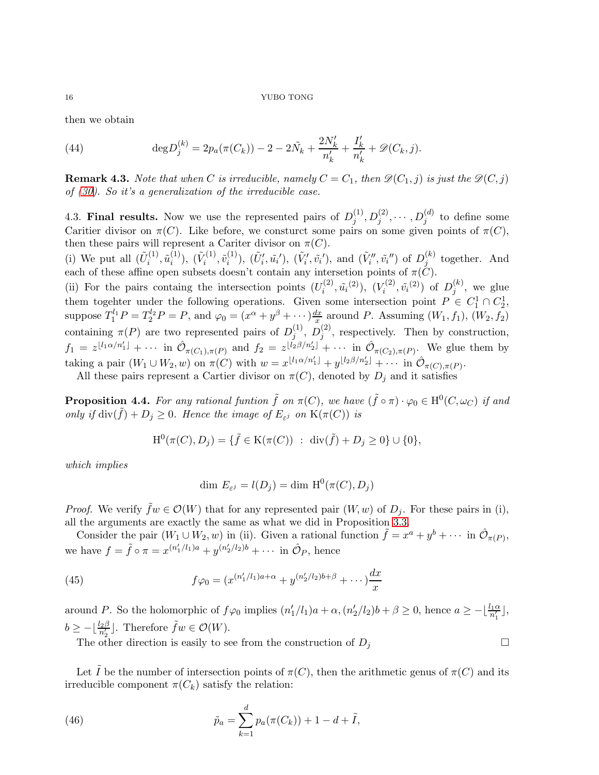then we obtain

(44) 
$$
\deg D_j^{(k)} = 2p_a(\pi(C_k)) - 2 - 2\tilde{N}_k + \frac{2N'_k}{n'_k} + \frac{I'_k}{n'_k} + \mathcal{D}(C_k, j).
$$

**Remark 4.3.** Note that when C is irreducible, namely  $C = C_1$ , then  $\mathcal{D}(C_1, j)$  is just the  $\mathcal{D}(C, j)$ of [\(30\)](#page-10-0). So it's a generalization of the irreducible case.

<span id="page-15-0"></span>4.3. Final results. Now we use the represented pairs of  $D_i^{(1)}$  $j^{(1)}, D_j^{(2)}, \cdots, D_j^{(d)}$  to define some Caritier divisor on  $\pi(C)$ . Like before, we consturct some pairs on some given points of  $\pi(C)$ , then these pairs will represent a Cariter divisor on  $\pi(C)$ .

(i) We put all  $(\tilde{U}_i^{(1)}$  $\tilde{u}_i^{(1)}, \tilde{u}_i^{(1)}$  $\binom{(1)}{i}$ ,  $(\tilde{V}_i^{(1)}$  $\tilde{v}_i^{(1)}, \tilde{v}_i^{(1)}$  $(\tilde{U}'_i, \tilde{u_i}')$ ,  $(\tilde{V}'_i, \tilde{v_i}')$ , and  $(\tilde{V}''_i, \tilde{v_i}'')$  of  $D_j^{(k)}$  $j^{(\kappa)}$  together. And each of these affine open subsets doesn't contain any intersetion points of  $\pi(C)$ .

(ii) For the pairs containg the intersection points  $(U_i^{(2)})$  $(i^{(2)}, \tilde{u}_i^{(2)}), (V_i^{(2)})$  $\tilde{v}_i^{(2)}, \tilde{v}_i^{(2)})$  of  $D_j^{(k)}$  $j^{(\kappa)}$ , we glue them togehter under the following operations. Given some intersection point  $P \in C_1^1 \cap C_2^1$ , suppose  $T_1^{l_1}P = T_2^{l_2}P = P$ , and  $\varphi_0 = (x^{\alpha} + y^{\beta} + \cdots) \frac{dx}{x}$  $\frac{dx}{dx}$  around P. Assuming  $(W_1, f_1), (W_2, f_2)$ containing  $\pi(P)$  are two represented pairs of  $D_i^{(1)}$  $j^{(1)},\ D_j^{(2)}$  $j^{(2)}$ , respectively. Then by construction,  $f_1 = z^{\lfloor l_1 \alpha/n'_1 \rfloor} + \cdots$  in  $\hat{\mathcal{O}}_{\pi(C_1), \pi(P)}$  and  $f_2 = z^{\lfloor l_2 \beta/n'_2 \rfloor} + \cdots$  in  $\hat{\mathcal{O}}_{\pi(C_2), \pi(P)}$ . We glue them by taking a pair  $(W_1 \cup W_2, w)$  on  $\pi(C)$  with  $w = x^{\lfloor l_1 \alpha/n'_1 \rfloor} + y^{\lfloor l_2 \beta/n'_2 \rfloor} + \cdots$  in  $\mathcal{O}_{\pi(C), \pi(P)}$ .

All these pairs represent a Cartier divisor on  $\pi(C)$ , denoted by  $D_i$  and it satisfies

**Proposition 4.4.** For any rational funtion  $\tilde{f}$  on  $\pi(C)$ , we have  $(\tilde{f} \circ \pi) \cdot \varphi_0 \in H^0(C, \omega_C)$  if and only if  $\text{div}(\tilde{f}) + D_j \geq 0$ . Hence the image of  $E_{\varepsilon}$  on  $K(\pi(C))$  is

$$
H^{0}(\pi(C), D_{j}) = \{ \tilde{f} \in K(\pi(C)) : div(\tilde{f}) + D_{j} \ge 0 \} \cup \{0\},\
$$

which implies

$$
\dim E_{\varepsilon^j} = l(D_j) = \dim \, \mathrm{H}^0(\pi(C), D_j)
$$

*Proof.* We verify  $\tilde{f}w \in \mathcal{O}(W)$  that for any represented pair  $(W, w)$  of  $D_i$ . For these pairs in (i), all the arguments are exactly the same as what we did in Proposition [3.3.](#page-9-0)

Consider the pair  $(W_1 \cup W_2, w)$  in (ii). Given a rational function  $\tilde{f} = x^a + y^b + \cdots$  in  $\hat{\mathcal{O}}_{\pi(P)}$ , we have  $f = \tilde{f} \circ \pi = x^{(n'_1/l_1)a} + y^{(n'_2/l_2)b} + \cdots$  in  $\hat{O}_P$ , hence

(45) 
$$
f\varphi_0 = (x^{(n'_1/l_1)a + \alpha} + y^{(n'_2/l_2)b + \beta} + \cdots) \frac{dx}{x}
$$

around P. So the holomorphic of  $f\varphi_0$  implies  $(n'_1/l_1)a + \alpha$ ,  $(n'_2/l_2)b + \beta \ge 0$ , hence  $a \ge -\lfloor \frac{l_1\alpha}{n'_1} \rfloor$ ,  $b \ge -\lfloor \frac{l_2\beta}{n_2'} \rfloor$ . Therefore  $\tilde{f}w \in \mathcal{O}(W)$ .

The other direction is easily to see from the construction of  $D_j$ 

Let I be the number of intersection points of  $\pi(C)$ , then the arithmetic genus of  $\pi(C)$  and its irreducible component  $\pi(C_k)$  satisfy the relation:

(46) 
$$
\tilde{p}_a = \sum_{k=1}^d p_a(\pi(C_k)) + 1 - d + \tilde{I},
$$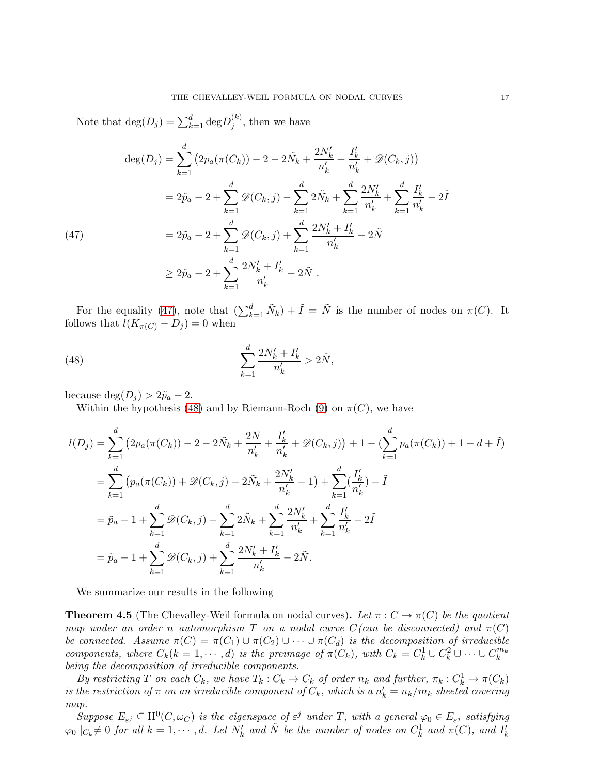Note that  $\deg(D_j) = \sum_{k=1}^d \deg D_j^{(k)}$  $j^{(\kappa)}$ , then we have

$$
\deg(D_j) = \sum_{k=1}^d \left( 2p_a(\pi(C_k)) - 2 - 2\tilde{N}_k + \frac{2N'_k}{n'_k} + \frac{I'_k}{n'_k} + \mathcal{D}(C_k, j) \right)
$$
  
\n
$$
= 2\tilde{p}_a - 2 + \sum_{k=1}^d \mathcal{D}(C_k, j) - \sum_{k=1}^d 2\tilde{N}_k + \sum_{k=1}^d \frac{2N'_k}{n'_k} + \sum_{k=1}^d \frac{I'_k}{n'_k} - 2\tilde{I}
$$
  
\n
$$
= 2\tilde{p}_a - 2 + \sum_{k=1}^d \mathcal{D}(C_k, j) + \sum_{k=1}^d \frac{2N'_k + I'_k}{n'_k} - 2\tilde{N}
$$
  
\n
$$
\geq 2\tilde{p}_a - 2 + \sum_{k=1}^d \frac{2N'_k + I'_k}{n'_k} - 2\tilde{N}.
$$

<span id="page-16-0"></span>For the equality [\(47\)](#page-16-0), note that  $(\sum_{k=1}^d \tilde{N}_k) + \tilde{I} = \tilde{N}$  is the number of nodes on  $\pi(C)$ . It follows that  $l(K_{\pi(C)} - D_j) = 0$  when

<span id="page-16-1"></span>(48) 
$$
\sum_{k=1}^{d} \frac{2N'_{k} + I'_{k}}{n'_{k}} > 2\tilde{N},
$$

because deg $(D_i) > 2\tilde{p}_a - 2$ .

Within the hypothesis [\(48\)](#page-16-1) and by Riemann-Roch [\(9\)](#page-5-2) on  $\pi(C)$ , we have

$$
l(D_j) = \sum_{k=1}^d \left( 2p_a(\pi(C_k)) - 2 - 2\tilde{N}_k + \frac{2N}{n'_k} + \frac{I'_k}{n'_k} + \mathcal{D}(C_k, j) \right) + 1 - \left( \sum_{k=1}^d p_a(\pi(C_k)) + 1 - d + \tilde{I} \right)
$$
  
\n
$$
= \sum_{k=1}^d \left( p_a(\pi(C_k)) + \mathcal{D}(C_k, j) - 2\tilde{N}_k + \frac{2N'_k}{n'_k} - 1 \right) + \sum_{k=1}^d \left( \frac{I'_k}{n'_k} \right) - \tilde{I}
$$
  
\n
$$
= \tilde{p}_a - 1 + \sum_{k=1}^d \mathcal{D}(C_k, j) - \sum_{k=1}^d 2\tilde{N}_k + \sum_{k=1}^d \frac{2N'_k}{n'_k} + \sum_{k=1}^d \frac{I'_k}{n'_k} - 2\tilde{I}
$$
  
\n
$$
= \tilde{p}_a - 1 + \sum_{k=1}^d \mathcal{D}(C_k, j) + \sum_{k=1}^d \frac{2N'_k + I'_k}{n'_k} - 2\tilde{N}.
$$

We summarize our results in the following

**Theorem 4.5** (The Chevalley-Weil formula on nodal curves). Let  $\pi : C \to \pi(C)$  be the quotient map under an order n automorphism T on a nodal curve  $C(\text{can be disconnected})$  and  $\pi(C)$ be connected. Assume  $\pi(C) = \pi(C_1) \cup \pi(C_2) \cup \cdots \cup \pi(C_d)$  is the decomposition of irreducible components, where  $C_k(k = 1, \dots, d)$  is the preimage of  $\pi(C_k)$ , with  $C_k = C_k^1 \cup C_k^2 \cup \dots \cup C_k^{m_k}$ being the decomposition of irreducible components.

By restricting T on each  $C_k$ , we have  $T_k: C_k \to C_k$  of order  $n_k$  and further,  $\pi_k: C_k^1 \to \pi(C_k)$ is the restriction of  $\pi$  on an irreducible component of  $C_k$ , which is a  $n'_k = n_k/m_k$  sheeted covering map.

Suppose  $E_{\varepsilon^j} \subseteq \mathrm{H}^0(C, \omega_C)$  is the eigenspace of  $\varepsilon^j$  under T, with a general  $\varphi_0 \in E_{\varepsilon^j}$  satisfying  $\varphi_0 \mid_{C_k} \neq 0$  for all  $k = 1, \cdots, d$ . Let  $N'_k$  and  $\tilde{N}$  be the number of nodes on  $C_k^1$  and  $\pi(C)$ , and  $I'_k$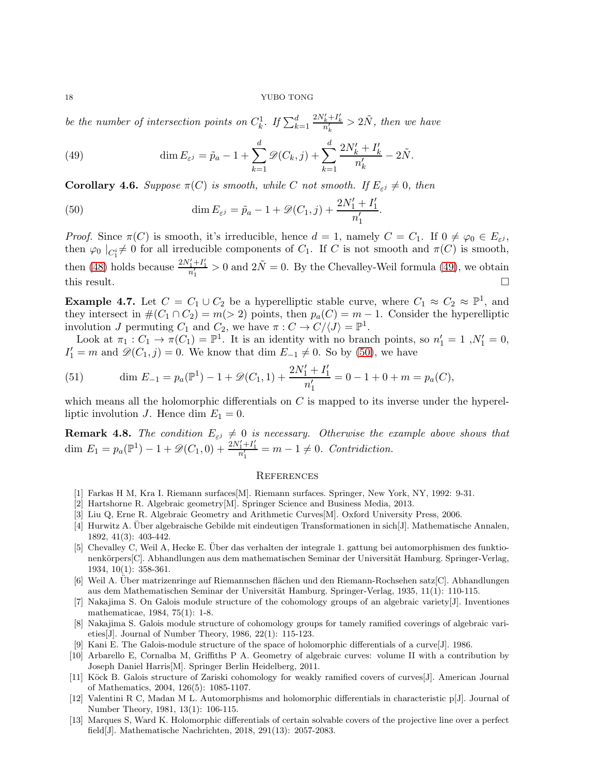be the number of intersection points on  $C_k^1$ . If  $\sum_{k=1}^d$  $\frac{2N'_k+I'_k}{n'_k} > 2\tilde{N}$ , then we have

<span id="page-17-14"></span>(49) 
$$
\dim E_{\varepsilon^j} = \tilde{p}_a - 1 + \sum_{k=1}^d \mathscr{D}(C_k, j) + \sum_{k=1}^d \frac{2N'_k + I'_k}{n'_k} - 2\tilde{N}.
$$

**Corollary 4.6.** Suppose  $\pi(C)$  is smooth, while C not smooth. If  $E_{\varepsilon^j} \neq 0$ , then

<span id="page-17-15"></span>(50) 
$$
\dim E_{\varepsilon^j} = \tilde{p}_a - 1 + \mathcal{D}(C_1, j) + \frac{2N'_1 + I'_1}{n'_1}.
$$

*Proof.* Since  $\pi(C)$  is smooth, it's irreducible, hence  $d = 1$ , namely  $C = C_1$ . If  $0 \neq \varphi_0 \in E_{\varepsilon^j}$ , then  $\varphi_0 \mid_{C_1^i} \neq 0$  for all irreducible components of  $C_1$ . If C is not smooth and  $\pi(C)$  is smooth, then [\(48\)](#page-16-1) holds because  $\frac{2N'_1+I'_1}{n'_1} > 0$  and  $2\tilde{N} = 0$ . By the Chevalley-Weil formula [\(49\)](#page-17-14), we obtain this result.  $\square$ 

**Example 4.7.** Let  $C = C_1 \cup C_2$  be a hyperelliptic stable curve, where  $C_1 \approx C_2 \approx \mathbb{P}^1$ , and they intersect in  $\#(C_1 \cap C_2) = m(> 2)$  points, then  $p_a(C) = m - 1$ . Consider the hyperelliptic involution J permuting  $C_1$  and  $C_2$ , we have  $\pi: C \to C/\langle J \rangle = \mathbb{P}^1$ .

Look at  $\pi_1: C_1 \to \pi(C_1) = \mathbb{P}^1$ . It is an identity with no branch points, so  $n'_1 = 1, N'_1 = 0$ ,  $I'_1 = m$  and  $\mathscr{D}(C_1, j) = 0$ . We know that dim  $E_{-1} \neq 0$ . So by [\(50\)](#page-17-15), we have

(51) 
$$
\dim E_{-1} = p_a(\mathbb{P}^1) - 1 + \mathcal{D}(C_1, 1) + \frac{2N'_1 + I'_1}{n'_1} = 0 - 1 + 0 + m = p_a(C),
$$

which means all the holomorphic differentials on  $C$  is mapped to its inverse under the hyperelliptic involution J. Hence dim  $E_1 = 0$ .

<span id="page-17-13"></span>**Remark 4.8.** The condition  $E_{\varepsilon j} \neq 0$  is necessary. Otherwise the example above shows that dim  $E_1 = p_a(\mathbb{P}^1) - 1 + \mathcal{D}(C_1, 0) + \frac{2N'_1 + I'_1}{n'_1} = m - 1 \neq 0$ . Contridiction.

# <span id="page-17-0"></span>**REFERENCES**

- <span id="page-17-11"></span><span id="page-17-10"></span>[1] Farkas H M, Kra I. Riemann surfaces[M]. Riemann surfaces. Springer, New York, NY, 1992: 9-31.
- <span id="page-17-12"></span>[2] Hartshorne R. Algebraic geometry[M]. Springer Science and Business Media, 2013.
- <span id="page-17-1"></span>[3] Liu Q, Erne R. Algebraic Geometry and Arithmetic Curves[M]. Oxford University Press, 2006.
- [4] Hurwitz A. Über algebraische Gebilde mit eindeutigen Transformationen in sich[J]. Mathematische Annalen, 1892, 41(3): 403-442.
- <span id="page-17-2"></span>[5] Chevalley C, Weil A, Hecke E. Über das verhalten der integrale 1. gattung bei automorphismen des funktionenkörpers[C]. Abhandlungen aus dem mathematischen Seminar der Universität Hamburg. Springer-Verlag, 1934, 10(1): 358-361.
- <span id="page-17-3"></span>[6] Weil A. Uber matrizenringe auf Riemannschen flächen und den Riemann-Rochsehen satz[C]. Abhandlungen aus dem Mathematischen Seminar der Universität Hamburg. Springer-Verlag, 1935, 11(1): 110-115.
- <span id="page-17-9"></span>[7] Nakajima S. On Galois module structure of the cohomology groups of an algebraic variety[J]. Inventiones mathematicae, 1984, 75(1): 1-8.
- <span id="page-17-6"></span>[8] Nakajima S. Galois module structure of cohomology groups for tamely ramified coverings of algebraic varieties[J]. Journal of Number Theory, 1986, 22(1): 115-123.
- <span id="page-17-4"></span>Kani E. The Galois-module structure of the space of holomorphic differentials of a curve [J]. 1986.
- [10] Arbarello E, Cornalba M, Griffiths P A. Geometry of algebraic curves: volume II with a contribution by Joseph Daniel Harris[M]. Springer Berlin Heidelberg, 2011.
- <span id="page-17-5"></span>[11] Köck B. Galois structure of Zariski cohomology for weakly ramified covers of curves[J]. American Journal of Mathematics, 2004, 126(5): 1085-1107.
- <span id="page-17-7"></span>[12] Valentini R C, Madan M L. Automorphisms and holomorphic differentials in characteristic p[J]. Journal of Number Theory, 1981, 13(1): 106-115.
- <span id="page-17-8"></span>[13] Marques S, Ward K. Holomorphic differentials of certain solvable covers of the projective line over a perfect field[J]. Mathematische Nachrichten, 2018, 291(13): 2057-2083.